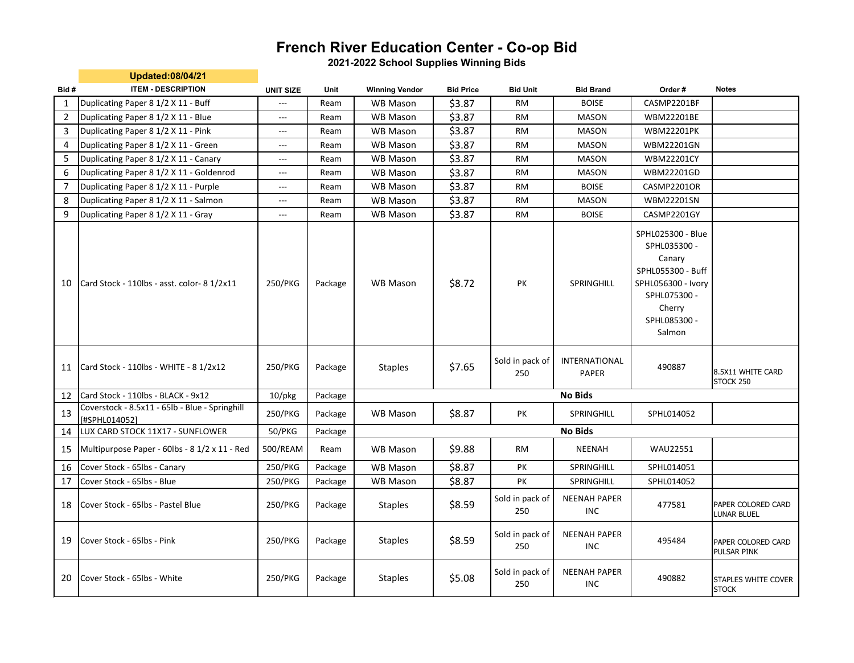## **French River Education Center - Co-op Bid**

**2021-2022 School Supplies Winning Bids**

|                | <b>Updated:08/04/21</b>                                         |                          |         |                       |                  |                        |                                   |                                                                                                                                            |                                          |
|----------------|-----------------------------------------------------------------|--------------------------|---------|-----------------------|------------------|------------------------|-----------------------------------|--------------------------------------------------------------------------------------------------------------------------------------------|------------------------------------------|
| Bid#           | <b>ITEM - DESCRIPTION</b>                                       | <b>UNIT SIZE</b>         | Unit    | <b>Winning Vendor</b> | <b>Bid Price</b> | <b>Bid Unit</b>        | <b>Bid Brand</b>                  | Order#                                                                                                                                     | <b>Notes</b>                             |
| $\mathbf{1}$   | Duplicating Paper 8 1/2 X 11 - Buff                             | ---                      | Ream    | <b>WB Mason</b>       | \$3.87           | RM                     | <b>BOISE</b>                      | CASMP2201BF                                                                                                                                |                                          |
| $\overline{2}$ | Duplicating Paper 8 1/2 X 11 - Blue                             | $\qquad \qquad \cdots$   | Ream    | <b>WB Mason</b>       | \$3.87           | <b>RM</b>              | <b>MASON</b>                      | WBM22201BE                                                                                                                                 |                                          |
| 3              | Duplicating Paper 8 1/2 X 11 - Pink                             | $\qquad \qquad \cdots$   | Ream    | <b>WB Mason</b>       | \$3.87           | RM                     | <b>MASON</b>                      | <b>WBM22201PK</b>                                                                                                                          |                                          |
| 4              | Duplicating Paper 8 1/2 X 11 - Green                            | ---                      | Ream    | <b>WB Mason</b>       | \$3.87           | <b>RM</b>              | <b>MASON</b>                      | WBM22201GN                                                                                                                                 |                                          |
| 5              | Duplicating Paper 8 1/2 X 11 - Canary                           | $\qquad \qquad - -$      | Ream    | <b>WB Mason</b>       | \$3.87           | RM                     | <b>MASON</b>                      | <b>WBM22201CY</b>                                                                                                                          |                                          |
| 6              | Duplicating Paper 8 1/2 X 11 - Goldenrod                        | $\qquad \qquad - -$      | Ream    | <b>WB Mason</b>       | \$3.87           | <b>RM</b>              | <b>MASON</b>                      | WBM22201GD                                                                                                                                 |                                          |
| 7              | Duplicating Paper 8 1/2 X 11 - Purple                           | $\qquad \qquad - -$      | Ream    | <b>WB Mason</b>       | \$3.87           | RM                     | <b>BOISE</b>                      | CASMP2201OR                                                                                                                                |                                          |
| 8              | Duplicating Paper 8 1/2 X 11 - Salmon                           | ---                      | Ream    | <b>WB Mason</b>       | \$3.87           | <b>RM</b>              | <b>MASON</b>                      | WBM22201SN                                                                                                                                 |                                          |
| 9              | Duplicating Paper 8 1/2 X 11 - Gray                             | $\hspace{0.05cm} \ldots$ | Ream    | <b>WB Mason</b>       | \$3.87           | RM                     | <b>BOISE</b>                      | CASMP2201GY                                                                                                                                |                                          |
| 10             | Card Stock - 110lbs - asst. color- 8 1/2x11                     | 250/PKG                  | Package | <b>WB Mason</b>       | \$8.72           | PK                     | SPRINGHILL                        | SPHL025300 - Blue<br>SPHL035300 -<br>Canary<br>SPHL055300 - Buff<br>SPHL056300 - Ivory<br>SPHL075300 -<br>Cherry<br>SPHL085300 -<br>Salmon |                                          |
| 11             | Card Stock - 110lbs - WHITE - 8 1/2x12                          | 250/PKG                  | Package | <b>Staples</b>        | \$7.65           | Sold in pack of<br>250 | INTERNATIONAL<br><b>PAPER</b>     | 490887                                                                                                                                     | 8.5X11 WHITE CARD<br>STOCK 250           |
| 12             | Card Stock - 110lbs - BLACK - 9x12                              | $10$ /pkg                | Package |                       |                  |                        | <b>No Bids</b>                    |                                                                                                                                            |                                          |
| 13             | Coverstock - 8.5x11 - 65lb - Blue - Springhill<br>[#SPHL014052] | 250/PKG                  | Package | <b>WB Mason</b>       | \$8.87           | PK                     | SPRINGHILL                        | SPHL014052                                                                                                                                 |                                          |
| 14             | LUX CARD STOCK 11X17 - SUNFLOWER                                | 50/PKG                   | Package |                       |                  |                        | <b>No Bids</b>                    |                                                                                                                                            |                                          |
| 15             | Multipurpose Paper - 60lbs - 8 1/2 x 11 - Red                   | 500/REAM                 | Ream    | <b>WB Mason</b>       | \$9.88           | RM                     | <b>NEENAH</b>                     | <b>WAU22551</b>                                                                                                                            |                                          |
| 16             | Cover Stock - 65lbs - Canary                                    | 250/PKG                  | Package | <b>WB Mason</b>       | \$8.87           | PK                     | SPRINGHILL                        | SPHL014051                                                                                                                                 |                                          |
| 17             | Cover Stock - 65lbs - Blue                                      | 250/PKG                  | Package | WB Mason              | \$8.87           | PK                     | SPRINGHILL                        | SPHL014052                                                                                                                                 |                                          |
| 18             | Cover Stock - 65lbs - Pastel Blue                               | 250/PKG                  | Package | <b>Staples</b>        | \$8.59           | Sold in pack of<br>250 | <b>NEENAH PAPER</b><br><b>INC</b> | 477581                                                                                                                                     | PAPER COLORED CARD<br><b>LUNAR BLUEL</b> |
| 19             | Cover Stock - 65lbs - Pink                                      | 250/PKG                  | Package | <b>Staples</b>        | \$8.59           | Sold in pack of<br>250 | <b>NEENAH PAPER</b><br><b>INC</b> | 495484                                                                                                                                     | PAPER COLORED CARD<br>PULSAR PINK        |
| 20             | Cover Stock - 65lbs - White                                     | 250/PKG                  | Package | <b>Staples</b>        | \$5.08           | Sold in pack of<br>250 | <b>NEENAH PAPER</b><br>INC        | 490882                                                                                                                                     | STAPLES WHITE COVER<br><b>STOCK</b>      |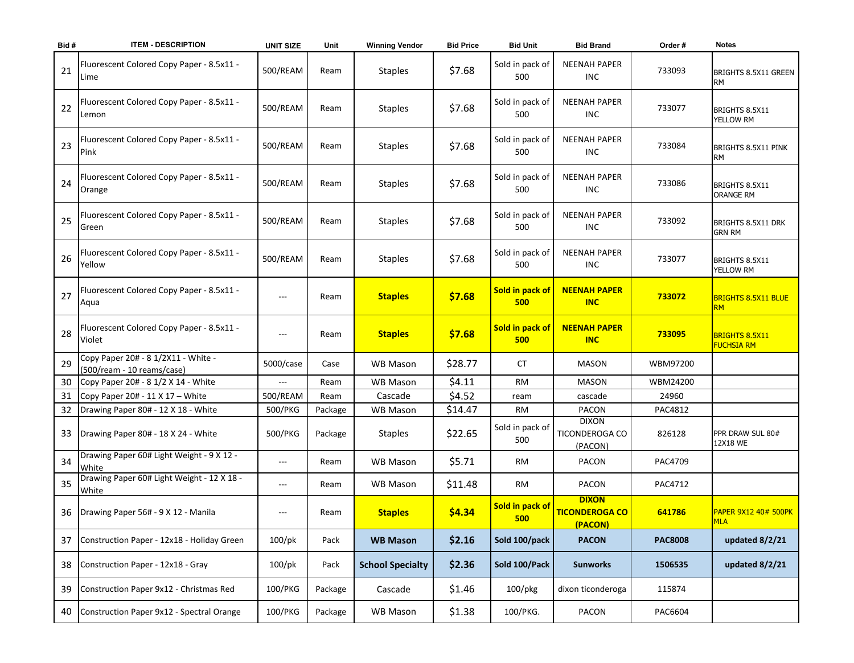| Bid# | <b>ITEM - DESCRIPTION</b>                                         | <b>UNIT SIZE</b>    | Unit    | <b>Winning Vendor</b>   | <b>Bid Price</b> | <b>Bid Unit</b>        | <b>Bid Brand</b>                                 | Order#         | <b>Notes</b>                               |
|------|-------------------------------------------------------------------|---------------------|---------|-------------------------|------------------|------------------------|--------------------------------------------------|----------------|--------------------------------------------|
| 21   | Fluorescent Colored Copy Paper - 8.5x11 -<br>Lime                 | 500/REAM            | Ream    | <b>Staples</b>          | \$7.68           | Sold in pack of<br>500 | <b>NEENAH PAPER</b><br><b>INC</b>                | 733093         | BRIGHTS 8.5X11 GREEN<br><b>RM</b>          |
| 22   | Fluorescent Colored Copy Paper - 8.5x11 -<br>Lemon                | 500/REAM            | Ream    | <b>Staples</b>          | \$7.68           | Sold in pack of<br>500 | <b>NEENAH PAPER</b><br><b>INC</b>                | 733077         | BRIGHTS 8.5X11<br>YELLOW RM                |
| 23   | Fluorescent Colored Copy Paper - 8.5x11 -<br>Pink                 | 500/REAM            | Ream    | <b>Staples</b>          | \$7.68           | Sold in pack of<br>500 | <b>NEENAH PAPER</b><br><b>INC</b>                | 733084         | BRIGHTS 8.5X11 PINK<br>RM                  |
| 24   | Fluorescent Colored Copy Paper - 8.5x11 -<br>Orange               | 500/REAM            | Ream    | <b>Staples</b>          | \$7.68           | Sold in pack of<br>500 | <b>NEENAH PAPER</b><br><b>INC</b>                | 733086         | BRIGHTS 8.5X11<br><b>ORANGE RM</b>         |
| 25   | Fluorescent Colored Copy Paper - 8.5x11 -<br>Green                | 500/REAM            | Ream    | <b>Staples</b>          | \$7.68           | Sold in pack of<br>500 | <b>NEENAH PAPER</b><br><b>INC</b>                | 733092         | BRIGHTS 8.5X11 DRK<br><b>GRN RM</b>        |
| 26   | Fluorescent Colored Copy Paper - 8.5x11 -<br>Yellow               | 500/REAM            | Ream    | <b>Staples</b>          | \$7.68           | Sold in pack of<br>500 | <b>NEENAH PAPER</b><br><b>INC</b>                | 733077         | BRIGHTS 8.5X11<br>YELLOW RM                |
| 27   | Fluorescent Colored Copy Paper - 8.5x11 -<br>Aqua                 |                     | Ream    | <b>Staples</b>          | \$7.68           | Sold in pack of<br>500 | <b>NEENAH PAPER</b><br><b>INC</b>                | 733072         | <b>BRIGHTS 8.5X11 BLUE</b><br><b>RM</b>    |
| 28   | Fluorescent Colored Copy Paper - 8.5x11 -<br>Violet               | $---$               | Ream    | <b>Staples</b>          | \$7.68           | Sold in pack of<br>500 | <b>NEENAH PAPER</b><br><b>INC</b>                | 733095         | <b>BRIGHTS 8.5X11</b><br><b>FUCHSIA RM</b> |
| 29   | Copy Paper 20# - 8 1/2X11 - White -<br>(500/ream - 10 reams/case) | 5000/case           | Case    | <b>WB Mason</b>         | \$28.77          | <b>CT</b>              | <b>MASON</b>                                     | WBM97200       |                                            |
| 30   | Copy Paper 20# - 8 1/2 X 14 - White                               | $\qquad \qquad - -$ | Ream    | <b>WB Mason</b>         | \$4.11           | <b>RM</b>              | <b>MASON</b>                                     | WBM24200       |                                            |
| 31   | Copy Paper 20# - 11 X 17 - White                                  | 500/REAM            | Ream    | Cascade                 | \$4.52           | ream                   | cascade                                          | 24960          |                                            |
| 32   | Drawing Paper 80# - 12 X 18 - White                               | 500/PKG             | Package | <b>WB Mason</b>         | \$14.47          | <b>RM</b>              | <b>PACON</b>                                     | PAC4812        |                                            |
| 33   | Drawing Paper 80# - 18 X 24 - White                               | 500/PKG             | Package | <b>Staples</b>          | \$22.65          | Sold in pack of<br>500 | <b>DIXON</b><br>TICONDEROGA CO<br>(PACON)        | 826128         | PPR DRAW SUL 80#<br>12X18 WE               |
| 34   | Drawing Paper 60# Light Weight - 9 X 12 -<br>White                | $---$               | Ream    | WB Mason                | \$5.71           | <b>RM</b>              | <b>PACON</b>                                     | PAC4709        |                                            |
| 35   | Drawing Paper 60# Light Weight - 12 X 18 -<br>White               | $---$               | Ream    | <b>WB Mason</b>         | \$11.48          | RM                     | <b>PACON</b>                                     | PAC4712        |                                            |
| 36   | Drawing Paper 56# - 9 X 12 - Manila                               | $---$               | Ream    | <b>Staples</b>          | \$4.34           | Sold in pack of<br>500 | <b>DIXON</b><br><b>TICONDEROGA CO</b><br>(PACON) | 641786         | <b>PAPER 9X12 40# 500PK</b><br><b>MLA</b>  |
| 37   | Construction Paper - 12x18 - Holiday Green                        | $100$ /pk           | Pack    | <b>WB Mason</b>         | \$2.16           | Sold 100/pack          | <b>PACON</b>                                     | <b>PAC8008</b> | updated 8/2/21                             |
| 38   | Construction Paper - 12x18 - Gray                                 | $100$ /pk           | Pack    | <b>School Specialty</b> | \$2.36           | Sold 100/Pack          | <b>Sunworks</b>                                  | 1506535        | updated 8/2/21                             |
| 39   | Construction Paper 9x12 - Christmas Red                           | 100/PKG             | Package | Cascade                 | \$1.46           | 100/pkg                | dixon ticonderoga                                | 115874         |                                            |
| 40   | Construction Paper 9x12 - Spectral Orange                         | 100/PKG             | Package | WB Mason                | \$1.38           | 100/PKG.               | PACON                                            | PAC6604        |                                            |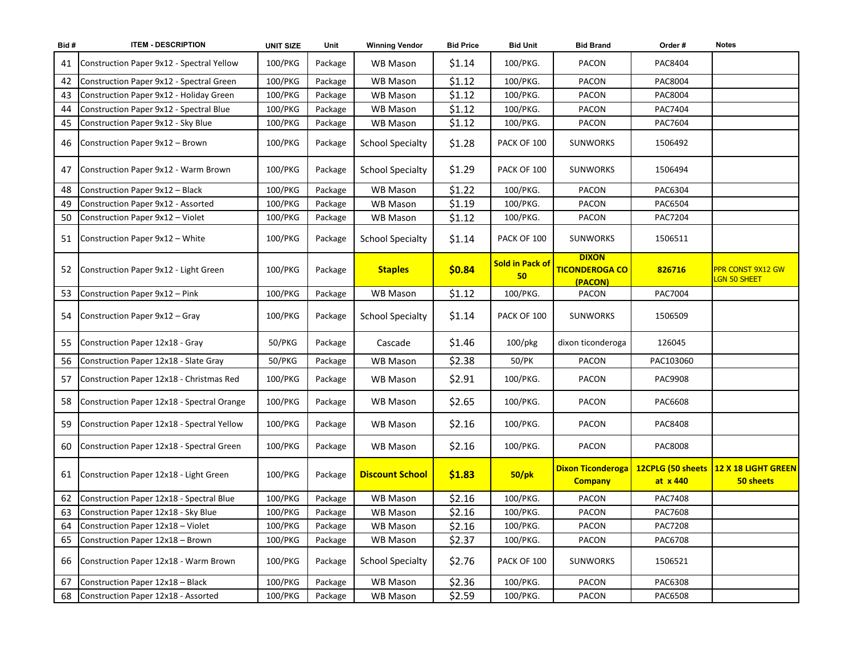| Bid# | <b>ITEM - DESCRIPTION</b>                    | <b>UNIT SIZE</b> | Unit    | <b>Winning Vendor</b>   | <b>Bid Price</b> | <b>Bid Unit</b>              | <b>Bid Brand</b>                                 | Order#    | <b>Notes</b>                                       |
|------|----------------------------------------------|------------------|---------|-------------------------|------------------|------------------------------|--------------------------------------------------|-----------|----------------------------------------------------|
| 41   | Construction Paper 9x12 - Spectral Yellow    | 100/PKG          | Package | WB Mason                | \$1.14           | 100/PKG.                     | PACON                                            | PAC8404   |                                                    |
| 42   | Construction Paper 9x12 - Spectral Green     | 100/PKG          | Package | <b>WB Mason</b>         | \$1.12           | 100/PKG.                     | PACON                                            | PAC8004   |                                                    |
| 43   | Construction Paper 9x12 - Holiday Green      | 100/PKG          | Package | WB Mason                | \$1.12           | 100/PKG.                     | PACON                                            | PAC8004   |                                                    |
| 44   | Construction Paper 9x12 - Spectral Blue      | 100/PKG          | Package | <b>WB Mason</b>         | \$1.12           | 100/PKG.                     | PACON                                            | PAC7404   |                                                    |
| 45   | Construction Paper 9x12 - Sky Blue           | 100/PKG          | Package | WB Mason                | \$1.12           | 100/PKG.                     | PACON                                            | PAC7604   |                                                    |
| 46   | Construction Paper 9x12 - Brown              | 100/PKG          | Package | <b>School Specialty</b> | \$1.28           | PACK OF 100                  | <b>SUNWORKS</b>                                  | 1506492   |                                                    |
| 47   | Construction Paper 9x12 - Warm Brown         | 100/PKG          | Package | <b>School Specialty</b> | \$1.29           | PACK OF 100                  | <b>SUNWORKS</b>                                  | 1506494   |                                                    |
| 48   | Construction Paper 9x12 - Black              | 100/PKG          | Package | <b>WB Mason</b>         | \$1.22           | 100/PKG.                     | PACON                                            | PAC6304   |                                                    |
| 49   | Construction Paper 9x12 - Assorted           | 100/PKG          | Package | <b>WB Mason</b>         | \$1.19           | 100/PKG.                     | <b>PACON</b>                                     | PAC6504   |                                                    |
| 50   | Construction Paper 9x12 - Violet             | 100/PKG          | Package | <b>WB Mason</b>         | \$1.12           | 100/PKG.                     | <b>PACON</b>                                     | PAC7204   |                                                    |
|      | 51 Construction Paper 9x12 - White           | 100/PKG          | Package | <b>School Specialty</b> | \$1.14           | PACK OF 100                  | <b>SUNWORKS</b>                                  | 1506511   |                                                    |
| 52   | Construction Paper 9x12 - Light Green        | 100/PKG          | Package | <b>Staples</b>          | \$0.84           | <b>Sold in Pack of</b><br>50 | <b>DIXON</b><br><b>TICONDEROGA CO</b><br>(PACON) | 826716    | PPR CONST 9X12 GW<br>LGN 50 SHEET                  |
| 53   | Construction Paper 9x12 - Pink               | 100/PKG          | Package | <b>WB Mason</b>         | \$1.12           | 100/PKG.                     | <b>PACON</b>                                     | PAC7004   |                                                    |
| 54   | Construction Paper 9x12 - Gray               | 100/PKG          | Package | <b>School Specialty</b> | \$1.14           | PACK OF 100                  | <b>SUNWORKS</b>                                  | 1506509   |                                                    |
| 55   | Construction Paper 12x18 - Gray              | 50/PKG           | Package | Cascade                 | \$1.46           | $100$ /pkg                   | dixon ticonderoga                                | 126045    |                                                    |
| 56   | Construction Paper 12x18 - Slate Gray        | 50/PKG           | Package | <b>WB Mason</b>         | \$2.38           | 50/PK                        | <b>PACON</b>                                     | PAC103060 |                                                    |
| 57   | Construction Paper 12x18 - Christmas Red     | 100/PKG          | Package | WB Mason                | \$2.91           | 100/PKG.                     | PACON                                            | PAC9908   |                                                    |
| 58   | Construction Paper 12x18 - Spectral Orange   | 100/PKG          | Package | WB Mason                | \$2.65           | 100/PKG.                     | PACON                                            | PAC6608   |                                                    |
| 59   | Construction Paper 12x18 - Spectral Yellow   | 100/PKG          | Package | WB Mason                | \$2.16           | 100/PKG.                     | PACON                                            | PAC8408   |                                                    |
|      | 60 Construction Paper 12x18 - Spectral Green | 100/PKG          | Package | WB Mason                | \$2.16           | 100/PKG.                     | PACON                                            | PAC8008   |                                                    |
|      | 61 Construction Paper 12x18 - Light Green    | 100/PKG          | Package | <b>Discount School</b>  | \$1.83           | $50$ /pk                     | <b>Dixon Ticonderoga</b><br><b>Company</b>       | at x 440  | 12CPLG (50 sheets 12 X 18 LIGHT GREEN<br>50 sheets |
| 62   | Construction Paper 12x18 - Spectral Blue     | 100/PKG          | Package | WB Mason                | \$2.16           | 100/PKG.                     | PACON                                            | PAC7408   |                                                    |
| 63   | Construction Paper 12x18 - Sky Blue          | 100/PKG          | Package | <b>WB Mason</b>         | \$2.16           | 100/PKG.                     | PACON                                            | PAC7608   |                                                    |
| 64   | Construction Paper 12x18 - Violet            | 100/PKG          | Package | <b>WB Mason</b>         | \$2.16           | 100/PKG.                     | PACON                                            | PAC7208   |                                                    |
| 65   | Construction Paper 12x18 - Brown             | 100/PKG          | Package | WB Mason                | \$2.37           | 100/PKG.                     | PACON                                            | PAC6708   |                                                    |
|      | 66 Construction Paper 12x18 - Warm Brown     | 100/PKG          | Package | <b>School Specialty</b> | \$2.76           | PACK OF 100                  | <b>SUNWORKS</b>                                  | 1506521   |                                                    |
| 67   | Construction Paper 12x18 - Black             | 100/PKG          | Package | WB Mason                | \$2.36           | 100/PKG.                     | PACON                                            | PAC6308   |                                                    |
| 68   | Construction Paper 12x18 - Assorted          | 100/PKG          | Package | <b>WB Mason</b>         | \$2.59           | 100/PKG.                     | PACON                                            | PAC6508   |                                                    |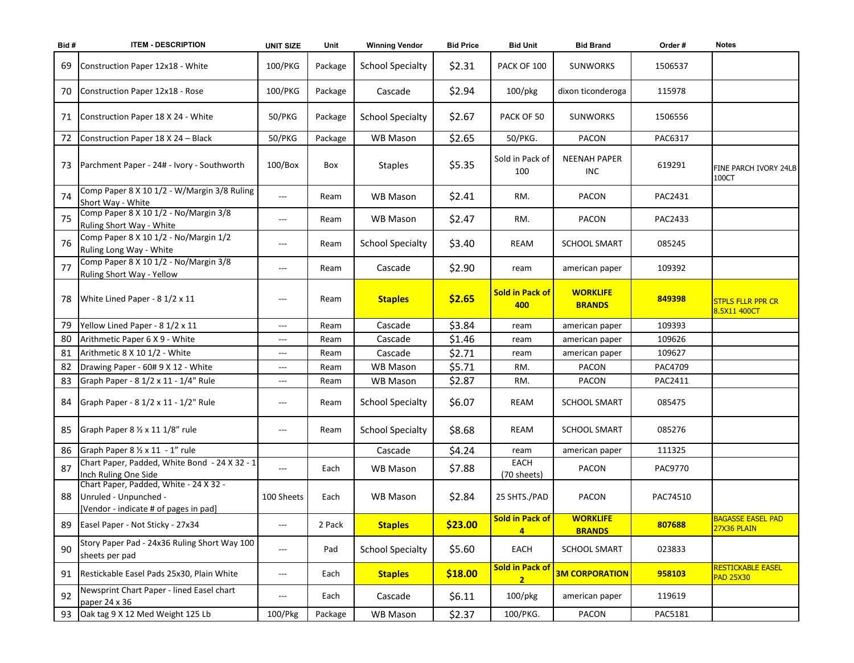| Bid# | <b>ITEM - DESCRIPTION</b>                                                                                | <b>UNIT SIZE</b>                         | Unit    | <b>Winning Vendor</b>   | <b>Bid Price</b> | <b>Bid Unit</b>                          | <b>Bid Brand</b>                  | Order #        | <b>Notes</b>                                       |
|------|----------------------------------------------------------------------------------------------------------|------------------------------------------|---------|-------------------------|------------------|------------------------------------------|-----------------------------------|----------------|----------------------------------------------------|
| 69   | Construction Paper 12x18 - White                                                                         | 100/PKG                                  | Package | <b>School Specialty</b> | \$2.31           | PACK OF 100                              | <b>SUNWORKS</b>                   | 1506537        |                                                    |
|      | 70 Construction Paper 12x18 - Rose                                                                       | 100/PKG                                  | Package | Cascade                 | \$2.94           | 100/pkg                                  | dixon ticonderoga                 | 115978         |                                                    |
| 71   | Construction Paper 18 X 24 - White                                                                       | 50/PKG                                   | Package | <b>School Specialty</b> | \$2.67           | PACK OF 50                               | <b>SUNWORKS</b>                   | 1506556        |                                                    |
| 72   | Construction Paper 18 X 24 - Black                                                                       | 50/PKG                                   | Package | <b>WB Mason</b>         | \$2.65           | 50/PKG.                                  | <b>PACON</b>                      | PAC6317        |                                                    |
| 73   | Parchment Paper - 24# - Ivory - Southworth                                                               | $100/B$ ox                               | Box     | <b>Staples</b>          | \$5.35           | Sold in Pack of<br>100                   | <b>NEENAH PAPER</b><br><b>INC</b> | 619291         | FINE PARCH IVORY 24LB<br>100CT                     |
| 74   | Comp Paper 8 X 10 1/2 - W/Margin 3/8 Ruling<br>Short Way - White                                         | $\qquad \qquad -$                        | Ream    | <b>WB Mason</b>         | \$2.41           | RM.                                      | <b>PACON</b>                      | PAC2431        |                                                    |
| 75   | Comp Paper 8 X 10 1/2 - No/Margin 3/8<br>Ruling Short Way - White                                        | $---$                                    | Ream    | <b>WB Mason</b>         | \$2.47           | RM.                                      | <b>PACON</b>                      | PAC2433        |                                                    |
| 76   | Comp Paper 8 X 10 1/2 - No/Margin 1/2<br>Ruling Long Way - White                                         | $---$                                    | Ream    | <b>School Specialty</b> | \$3.40           | REAM                                     | <b>SCHOOL SMART</b>               | 085245         |                                                    |
| 77   | Comp Paper 8 X 10 1/2 - No/Margin 3/8<br>Ruling Short Way - Yellow                                       | $---$                                    | Ream    | Cascade                 | \$2.90           | ream                                     | american paper                    | 109392         |                                                    |
| 78   | White Lined Paper - 8 1/2 x 11                                                                           | $---$                                    | Ream    | <b>Staples</b>          | \$2.65           | <b>Sold in Pack of</b><br>400            | <b>WORKLIFE</b><br><b>BRANDS</b>  | 849398         | <b>STPLS FLLR PPR CR</b><br>8.5X11 400CT           |
| 79   | Yellow Lined Paper - 8 1/2 x 11                                                                          | ---                                      | Ream    | Cascade                 | \$3.84           | ream                                     | american paper                    | 109393         |                                                    |
| 80   | Arithmetic Paper 6 X 9 - White                                                                           | ---                                      | Ream    | Cascade                 | \$1.46           | ream                                     | american paper                    | 109626         |                                                    |
| 81   | Arithmetic 8 X 10 1/2 - White                                                                            | $\qquad \qquad -$                        | Ream    | Cascade                 | \$2.71           | ream                                     | american paper                    | 109627         |                                                    |
| 82   | Drawing Paper - 60# 9 X 12 - White                                                                       | $\qquad \qquad - -$                      | Ream    | <b>WB Mason</b>         | \$5.71           | RM.                                      | <b>PACON</b>                      | PAC4709        |                                                    |
| 83   | Graph Paper - 8 1/2 x 11 - 1/4" Rule                                                                     | $\qquad \qquad - -$                      | Ream    | <b>WB Mason</b>         | \$2.87           | RM.                                      | <b>PACON</b>                      | PAC2411        |                                                    |
|      | 84 Graph Paper - 8 1/2 x 11 - 1/2" Rule                                                                  | $---$                                    | Ream    | <b>School Specialty</b> | \$6.07           | <b>REAM</b>                              | <b>SCHOOL SMART</b>               | 085475         |                                                    |
| 85   | Graph Paper 8 1/2 x 11 1/8" rule                                                                         | $---$                                    | Ream    | <b>School Specialty</b> | \$8.68           | REAM                                     | <b>SCHOOL SMART</b>               | 085276         |                                                    |
|      | 86 Graph Paper 8 1/2 x 11 - 1" rule                                                                      |                                          |         | Cascade                 | \$4.24           | ream                                     | american paper                    | 111325         |                                                    |
| 87   | Chart Paper, Padded, White Bond - 24 X 32 - 1<br>Inch Ruling One Side                                    | $---$                                    | Each    | <b>WB Mason</b>         | \$7.88           | <b>EACH</b><br>(70 sheets)               | PACON                             | <b>PAC9770</b> |                                                    |
| 88   | Chart Paper, Padded, White - 24 X 32 -<br>Unruled - Unpunched -<br>[Vendor - indicate # of pages in pad] | 100 Sheets                               | Each    | <b>WB Mason</b>         | \$2.84           | 25 SHTS./PAD                             | PACON                             | PAC74510       |                                                    |
| 89   | Easel Paper - Not Sticky - 27x34                                                                         | $---$                                    | 2 Pack  | <b>Staples</b>          | \$23.00          | <b>Sold in Pack of</b><br>$\overline{4}$ | <b>WORKLIFE</b><br><b>BRANDS</b>  | 807688         | <b>BAGASSE EASEL PAD</b><br>27X36 PLAIN            |
| 90   | Story Paper Pad - 24x36 Ruling Short Way 100<br>sheets per pad                                           | $\hspace{0.05cm} \ldots \hspace{0.05cm}$ | Pad     | <b>School Specialty</b> | \$5.60           | EACH                                     | <b>SCHOOL SMART</b>               | 023833         |                                                    |
| 91   | Restickable Easel Pads 25x30, Plain White                                                                | $---$                                    | Each    | <b>Staples</b>          | \$18.00          | <b>Sold in Pack of</b><br>$\overline{2}$ | <b>3M CORPORATION</b>             | 958103         | <mark>RESTICKABLE EASEL</mark><br><b>PAD 25X30</b> |
| 92   | Newsprint Chart Paper - lined Easel chart<br>paper 24 x 36                                               | $---$                                    | Each    | Cascade                 | \$6.11           | 100/pkg                                  | american paper                    | 119619         |                                                    |
| 93   | Oak tag 9 X 12 Med Weight 125 Lb                                                                         | 100/Pkg                                  | Package | WB Mason                | \$2.37           | 100/PKG.                                 | PACON                             | PAC5181        |                                                    |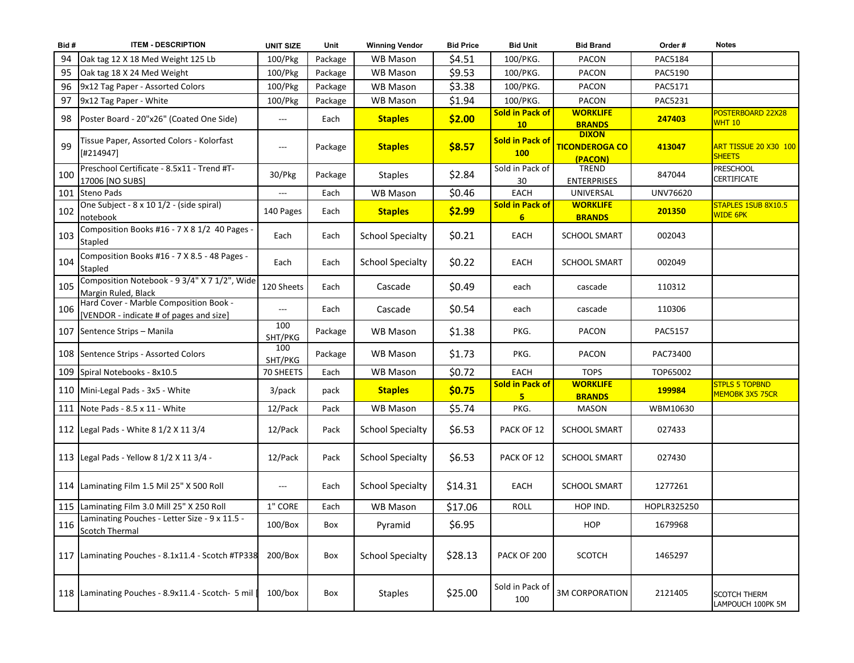| Bid# | <b>ITEM - DESCRIPTION</b>                                                         | <b>UNIT SIZE</b> | Unit    | <b>Winning Vendor</b>   | <b>Bid Price</b> | <b>Bid Unit</b>                          | <b>Bid Brand</b>                                 | Order #     | <b>Notes</b>                                  |
|------|-----------------------------------------------------------------------------------|------------------|---------|-------------------------|------------------|------------------------------------------|--------------------------------------------------|-------------|-----------------------------------------------|
| 94   | Oak tag 12 X 18 Med Weight 125 Lb                                                 | 100/Pkg          | Package | <b>WB Mason</b>         | \$4.51           | 100/PKG.                                 | <b>PACON</b>                                     | PAC5184     |                                               |
| 95   | Oak tag 18 X 24 Med Weight                                                        | 100/Pkg          | Package | <b>WB Mason</b>         | \$9.53           | 100/PKG.                                 | PACON                                            | PAC5190     |                                               |
| 96   | 9x12 Tag Paper - Assorted Colors                                                  | 100/Pkg          | Package | <b>WB Mason</b>         | \$3.38           | 100/PKG.                                 | <b>PACON</b>                                     | PAC5171     |                                               |
| 97   | 9x12 Tag Paper - White                                                            | 100/Pkg          | Package | <b>WB Mason</b>         | \$1.94           | 100/PKG.                                 | PACON                                            | PAC5231     |                                               |
| 98   | Poster Board - 20"x26" (Coated One Side)                                          | ---              | Each    | <b>Staples</b>          | \$2.00           | <b>Sold in Pack of</b><br>10             | <b>WORKLIFE</b><br><b>BRANDS</b>                 | 247403      | POSTERBOARD 22X28<br><b>WHT 10</b>            |
| 99   | Tissue Paper, Assorted Colors - Kolorfast<br>[#214947]                            | ---              | Package | <b>Staples</b>          | \$8.57           | <b>Sold in Pack of</b><br><b>100</b>     | <b>DIXON</b><br><b>TICONDEROGA CO</b><br>(PACON) | 413047      | <b>ART TISSUE 20 X30 100</b><br><b>SHEETS</b> |
| 100  | Preschool Certificate - 8.5x11 - Trend #T-<br>17006 [NO SUBS]                     | 30/Pkg           | Package | <b>Staples</b>          | \$2.84           | Sold in Pack of<br>30                    | <b>TREND</b><br><b>ENTERPRISES</b>               | 847044      | <b>PRESCHOOL</b><br><b>CERTIFICATE</b>        |
|      | 101 Steno Pads                                                                    | $---$            | Each    | <b>WB Mason</b>         | \$0.46           | EACH                                     | UNIVERSAL                                        | UNV76620    |                                               |
| 102  | One Subject - 8 x 10 1/2 - (side spiral)<br>notebook                              | 140 Pages        | Each    | <b>Staples</b>          | \$2.99           | <b>Sold in Pack of</b><br>6 <sup>1</sup> | <b>WORKLIFE</b><br><b>BRANDS</b>                 | 201350      | STAPLES 1SUB 8X10.5<br><b>WIDE 6PK</b>        |
| 103  | Composition Books #16 - 7 X 8 1/2 40 Pages -<br>Stapled                           | Each             | Each    | <b>School Specialty</b> | \$0.21           | EACH                                     | <b>SCHOOL SMART</b>                              | 002043      |                                               |
| 104  | Composition Books #16 - 7 X 8.5 - 48 Pages -<br>Stapled                           | Each             | Each    | <b>School Specialty</b> | \$0.22           | EACH                                     | <b>SCHOOL SMART</b>                              | 002049      |                                               |
| 105  | Composition Notebook - 9 3/4" X 7 1/2", Wide<br>Margin Ruled, Black               | 120 Sheets       | Each    | Cascade                 | \$0.49           | each                                     | cascade                                          | 110312      |                                               |
| 106  | Hard Cover - Marble Composition Book -<br>[VENDOR - indicate # of pages and size] | $---$            | Each    | Cascade                 | \$0.54           | each                                     | cascade                                          | 110306      |                                               |
|      | 107 Sentence Strips - Manila                                                      | 100<br>SHT/PKG   | Package | <b>WB Mason</b>         | \$1.38           | PKG.                                     | PACON                                            | PAC5157     |                                               |
|      | 108 Sentence Strips - Assorted Colors                                             | 100<br>SHT/PKG   | Package | <b>WB Mason</b>         | \$1.73           | PKG.                                     | PACON                                            | PAC73400    |                                               |
|      | 109 Spiral Notebooks - 8x10.5                                                     | 70 SHEETS        | Each    | WB Mason                | \$0.72           | <b>EACH</b>                              | <b>TOPS</b>                                      | TOP65002    |                                               |
|      | 110 Mini-Legal Pads - 3x5 - White                                                 | 3/pack           | pack    | <b>Staples</b>          | \$0.75           | <b>Sold in Pack of</b><br>5.             | <b>WORKLIFE</b><br><b>BRANDS</b>                 | 199984      | <b>STPLS 5 TOPBND</b><br>MEMOBK 3X5 75CR      |
|      | 111 Note Pads - 8.5 x 11 - White                                                  | 12/Pack          | Pack    | <b>WB Mason</b>         | \$5.74           | PKG.                                     | <b>MASON</b>                                     | WBM10630    |                                               |
|      | 112 Legal Pads - White 8 1/2 X 11 3/4                                             | 12/Pack          | Pack    | <b>School Specialty</b> | \$6.53           | PACK OF 12                               | <b>SCHOOL SMART</b>                              | 027433      |                                               |
|      | 113   Legal Pads - Yellow 8 1/2 X 11 3/4 -                                        | 12/Pack          | Pack    | <b>School Specialty</b> | \$6.53           | PACK OF 12                               | <b>SCHOOL SMART</b>                              | 027430      |                                               |
|      | 114 Laminating Film 1.5 Mil 25" X 500 Roll                                        | ---              | Each    | <b>School Specialty</b> | \$14.31          | EACH                                     | <b>SCHOOL SMART</b>                              | 1277261     |                                               |
|      | 115 Laminating Film 3.0 Mill 25" X 250 Roll                                       | 1" CORE          | Each    | WB Mason                | \$17.06          | ROLL                                     | HOP IND.                                         | HOPLR325250 |                                               |
| 116  | Laminating Pouches - Letter Size - 9 x 11.5 -<br><b>Scotch Thermal</b>            | $100/B$ ox       | Box     | Pyramid                 | \$6.95           |                                          | <b>HOP</b>                                       | 1679968     |                                               |
|      | 117 Laminating Pouches - 8.1x11.4 - Scotch #TP338                                 | 200/Box          | Box     | <b>School Specialty</b> | \$28.13          | PACK OF 200                              | <b>SCOTCH</b>                                    | 1465297     |                                               |
|      | 118   Laminating Pouches - 8.9x11.4 - Scotch- 5 mil                               | $100/b$ ox       | Box     | <b>Staples</b>          | \$25.00          | Sold in Pack of<br>100                   | <b>3M CORPORATION</b>                            | 2121405     | <b>SCOTCH THERM</b><br>LAMPOUCH 100PK 5M      |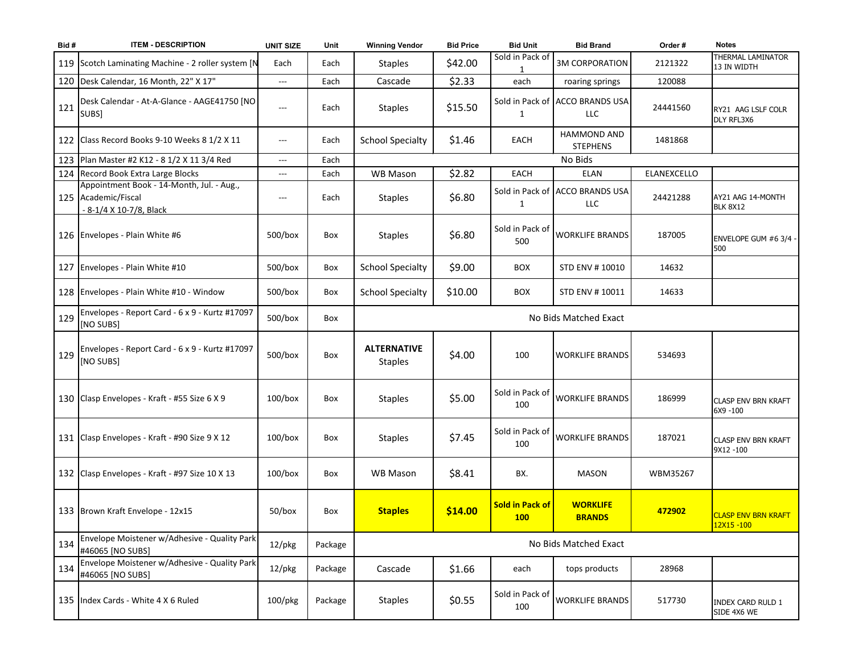| Bid# | <b>ITEM - DESCRIPTION</b>                                                                   | <b>UNIT SIZE</b>    | Unit    | <b>Winning Vendor</b>                | <b>Bid Price</b> | <b>Bid Unit</b>                      | <b>Bid Brand</b>                              | Order #     | <b>Notes</b>                            |
|------|---------------------------------------------------------------------------------------------|---------------------|---------|--------------------------------------|------------------|--------------------------------------|-----------------------------------------------|-------------|-----------------------------------------|
|      | 119 Scotch Laminating Machine - 2 roller system [N                                          | Each                | Each    | <b>Staples</b>                       | \$42.00          | Sold in Pack of                      | <b>3M CORPORATION</b>                         | 2121322     | THERMAL LAMINATOR<br>13 IN WIDTH        |
|      | 120 Desk Calendar, 16 Month, 22" X 17"                                                      | $\qquad \qquad -$   | Each    | Cascade                              | \$2.33           | each                                 | roaring springs                               | 120088      |                                         |
| 121  | Desk Calendar - At-A-Glance - AAGE41750 [NO<br>SUBS]                                        | $---$               | Each    | <b>Staples</b>                       | \$15.50          | 1                                    | Sold in Pack of ACCO BRANDS USA<br><b>LLC</b> | 24441560    | RY21 AAG LSLF COLR<br>DLY RFL3X6        |
|      | 122 Class Record Books 9-10 Weeks 8 1/2 X 11                                                | $---$               | Each    | <b>School Specialty</b>              | \$1.46           | <b>EACH</b>                          | HAMMOND AND<br><b>STEPHENS</b>                | 1481868     |                                         |
|      | 123 Plan Master #2 K12 - 8 1/2 X 11 3/4 Red                                                 | $\qquad \qquad - -$ | Each    |                                      |                  |                                      | No Bids                                       |             |                                         |
|      | 124 Record Book Extra Large Blocks                                                          | $\qquad \qquad - -$ | Each    | <b>WB Mason</b>                      | \$2.82           | EACH                                 | <b>ELAN</b>                                   | ELANEXCELLO |                                         |
|      | Appointment Book - 14-Month, Jul. - Aug.,<br>125 Academic/Fiscal<br>- 8-1/4 X 10-7/8, Black | $---$               | Each    | <b>Staples</b>                       | \$6.80           | $\mathbf{1}$                         | Sold in Pack of ACCO BRANDS USA<br><b>LLC</b> | 24421288    | AY21 AAG 14-MONTH<br><b>BLK 8X12</b>    |
|      | 126 Envelopes - Plain White #6                                                              | $500/b$ ox          | Box     | <b>Staples</b>                       | \$6.80           | Sold in Pack of<br>500               | <b>WORKLIFE BRANDS</b>                        | 187005      | ENVELOPE GUM #6 3/4 -<br>500            |
|      | 127 Envelopes - Plain White #10                                                             | $500/b$ ox          | Box     | <b>School Specialty</b>              | \$9.00           | <b>BOX</b>                           | STD ENV # 10010                               | 14632       |                                         |
|      | 128 Envelopes - Plain White #10 - Window                                                    | $500/b$ ox          | Box     | <b>School Specialty</b>              | \$10.00          | <b>BOX</b>                           | STD ENV #10011                                | 14633       |                                         |
| 129  | Envelopes - Report Card - 6 x 9 - Kurtz #17097<br>[NO SUBS]                                 | $500/b$ ox          | Box     |                                      |                  |                                      | No Bids Matched Exact                         |             |                                         |
| 129  | Envelopes - Report Card - 6 x 9 - Kurtz #17097<br>[NO SUBS]                                 | 500/box             | Box     | <b>ALTERNATIVE</b><br><b>Staples</b> | \$4.00           | 100                                  | <b>WORKLIFE BRANDS</b>                        | 534693      |                                         |
|      | 130 Clasp Envelopes - Kraft - #55 Size 6 X 9                                                | $100/b$ ox          | Box     | <b>Staples</b>                       | \$5.00           | Sold in Pack of<br>100               | <b>WORKLIFE BRANDS</b>                        | 186999      | <b>CLASP ENV BRN KRAFT</b><br>6X9 -100  |
|      | 131 Clasp Envelopes - Kraft - #90 Size 9 X 12                                               | $100/b$ ox          | Box     | <b>Staples</b>                       | \$7.45           | Sold in Pack of<br>100               | <b>WORKLIFE BRANDS</b>                        | 187021      | <b>CLASP ENV BRN KRAFT</b><br>9X12 -100 |
|      | 132 Clasp Envelopes - Kraft - #97 Size 10 X 13                                              | $100/b$ ox          | Box     | WB Mason                             | \$8.41           | BX.                                  | <b>MASON</b>                                  | WBM35267    |                                         |
|      | 133 Brown Kraft Envelope - 12x15                                                            | $50/b$ ox           | Box     | <b>Staples</b>                       | \$14.00          | <b>Sold in Pack of</b><br><b>100</b> | <b>WORKLIFE</b><br><b>BRANDS</b>              | 472902      | <b>CLASP ENV BRN KRAFT</b><br>12X15-100 |
| 134  | Envelope Moistener w/Adhesive - Quality Park<br>#46065 [NO SUBS]                            | $12$ /pkg           | Package |                                      |                  |                                      | No Bids Matched Exact                         |             |                                         |
| 134  | Envelope Moistener w/Adhesive - Quality Park<br>#46065 [NO SUBS]                            | $12$ /pkg           | Package | Cascade                              | \$1.66           | each                                 | tops products                                 | 28968       |                                         |
|      | 135 Index Cards - White 4 X 6 Ruled                                                         | 100/pkg             | Package | <b>Staples</b>                       | \$0.55           | Sold in Pack of<br>100               | <b>WORKLIFE BRANDS</b>                        | 517730      | <b>INDEX CARD RULD 1</b><br>SIDE 4X6 WE |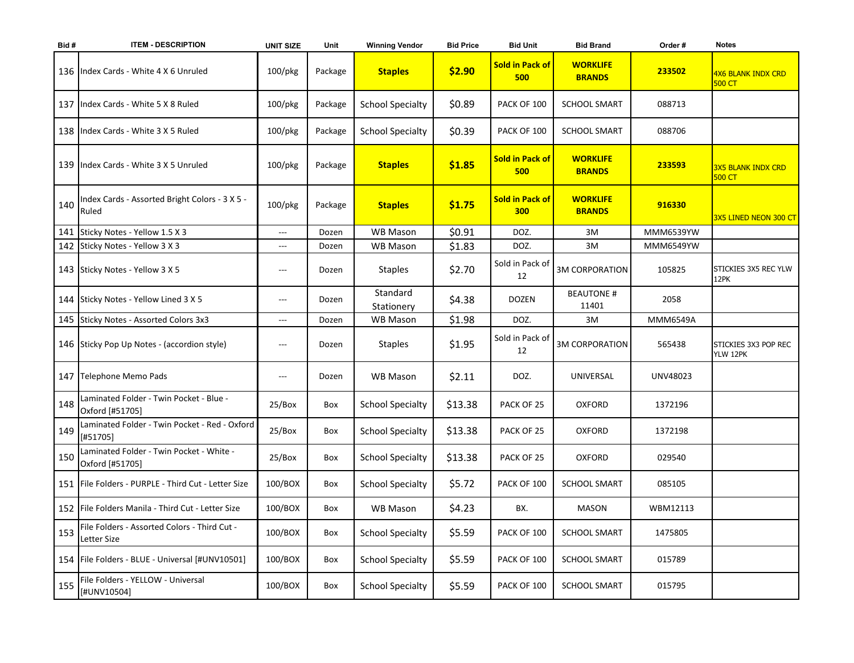| Bid # | <b>ITEM - DESCRIPTION</b>                                   | <b>UNIT SIZE</b>         | Unit    | <b>Winning Vendor</b>   | <b>Bid Price</b> | <b>Bid Unit</b>               | <b>Bid Brand</b>                 | Order#          | <b>Notes</b>                               |
|-------|-------------------------------------------------------------|--------------------------|---------|-------------------------|------------------|-------------------------------|----------------------------------|-----------------|--------------------------------------------|
|       | 136   Index Cards - White 4 X 6 Unruled                     | $100$ /pkg               | Package | <b>Staples</b>          | \$2.90           | <b>Sold in Pack of</b><br>500 | <b>WORKLIFE</b><br><b>BRANDS</b> | 233502          | <b>4X6 BLANK INDX CRD</b><br><b>500 CT</b> |
|       | 137 Index Cards - White 5 X 8 Ruled                         | $100$ /pkg               | Package | <b>School Specialty</b> | \$0.89           | PACK OF 100                   | <b>SCHOOL SMART</b>              | 088713          |                                            |
|       | 138   Index Cards - White 3 X 5 Ruled                       | $100$ /pkg               | Package | <b>School Specialty</b> | \$0.39           | PACK OF 100                   | <b>SCHOOL SMART</b>              | 088706          |                                            |
|       | 139 Index Cards - White 3 X 5 Unruled                       | $100$ /pkg               | Package | <b>Staples</b>          | \$1.85           | <b>Sold in Pack of</b><br>500 | <b>WORKLIFE</b><br><b>BRANDS</b> | 233593          | <b>3X5 BLANK INDX CRD</b><br><b>500 CT</b> |
| 140   | Index Cards - Assorted Bright Colors - 3 X 5 -<br>Ruled     | 100/pkg                  | Package | <b>Staples</b>          | \$1.75           | <b>Sold in Pack of</b><br>300 | <b>WORKLIFE</b><br><b>BRANDS</b> | 916330          | 3X5 LINED NEON 300 CT                      |
|       | 141 Sticky Notes - Yellow 1.5 X 3                           | ---                      | Dozen   | <b>WB Mason</b>         | \$0.91           | DOZ.                          | 3M                               | MMM6539YW       |                                            |
|       | 142 Sticky Notes - Yellow 3 X 3                             | $---$                    | Dozen   | <b>WB Mason</b>         | \$1.83           | DOZ.                          | 3M                               | MMM6549YW       |                                            |
|       | 143 Sticky Notes - Yellow 3 X 5                             | $---$                    | Dozen   | <b>Staples</b>          | \$2.70           | Sold in Pack of<br>12         | <b>3M CORPORATION</b>            | 105825          | STICKIES 3X5 REC YLW<br>12PK               |
|       | 144 Sticky Notes - Yellow Lined 3 X 5                       | $---$                    | Dozen   | Standard<br>Stationery  | \$4.38           | <b>DOZEN</b>                  | <b>BEAUTONE#</b><br>11401        | 2058            |                                            |
|       | 145 Sticky Notes - Assorted Colors 3x3                      | $---$                    | Dozen   | <b>WB Mason</b>         | \$1.98           | DOZ.                          | 3M                               | <b>MMM6549A</b> |                                            |
|       | 146 Sticky Pop Up Notes - (accordion style)                 | $\hspace{0.05cm} \ldots$ | Dozen   | <b>Staples</b>          | \$1.95           | Sold in Pack of<br>12         | <b>3M CORPORATION</b>            | 565438          | STICKIES 3X3 POP REC<br>YLW 12PK           |
|       | 147 Telephone Memo Pads                                     | $---$                    | Dozen   | <b>WB Mason</b>         | \$2.11           | DOZ.                          | UNIVERSAL                        | UNV48023        |                                            |
| 148   | Laminated Folder - Twin Pocket - Blue -<br>Oxford [#51705]  | 25/Box                   | Box     | <b>School Specialty</b> | \$13.38          | PACK OF 25                    | <b>OXFORD</b>                    | 1372196         |                                            |
| 149   | Laminated Folder - Twin Pocket - Red - Oxford<br>[#51705]   | 25/Box                   | Box     | <b>School Specialty</b> | \$13.38          | PACK OF 25                    | <b>OXFORD</b>                    | 1372198         |                                            |
| 150   | Laminated Folder - Twin Pocket - White -<br>Oxford [#51705] | 25/Box                   | Box     | <b>School Specialty</b> | \$13.38          | PACK OF 25                    | OXFORD                           | 029540          |                                            |
|       | 151   File Folders - PURPLE - Third Cut - Letter Size       | 100/BOX                  | Box     | <b>School Specialty</b> | \$5.72           | PACK OF 100                   | <b>SCHOOL SMART</b>              | 085105          |                                            |
|       | 152 File Folders Manila - Third Cut - Letter Size           | 100/BOX                  | Box     | <b>WB Mason</b>         | \$4.23           | BX.                           | MASON                            | WBM12113        |                                            |
| 153   | File Folders - Assorted Colors - Third Cut -<br>Letter Size | 100/BOX                  | Box     | <b>School Specialty</b> | \$5.59           | PACK OF 100                   | <b>SCHOOL SMART</b>              | 1475805         |                                            |
|       | 154   File Folders - BLUE - Universal [#UNV10501]           | 100/BOX                  | Box     | <b>School Specialty</b> | \$5.59           | PACK OF 100                   | <b>SCHOOL SMART</b>              | 015789          |                                            |
| 155   | File Folders - YELLOW - Universal<br>[#UNV10504]            | 100/BOX                  | Box     | <b>School Specialty</b> | \$5.59           | PACK OF 100                   | <b>SCHOOL SMART</b>              | 015795          |                                            |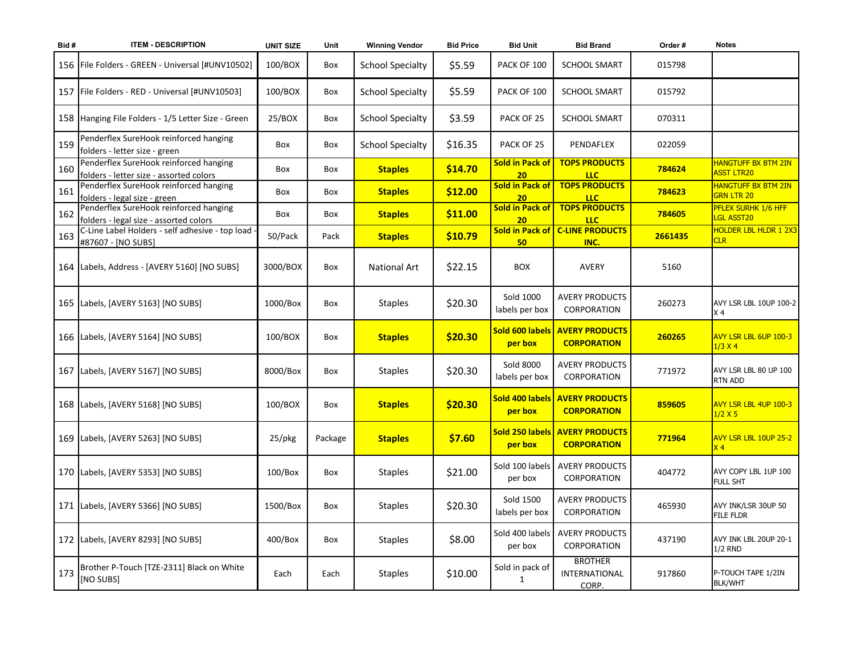| Bid# | <b>ITEM - DESCRIPTION</b>                                                         | <b>UNIT SIZE</b> | Unit    | <b>Winning Vendor</b>   | <b>Bid Price</b> | <b>Bid Unit</b>                    | <b>Bid Brand</b>                                     | Order#  | <b>Notes</b>                               |
|------|-----------------------------------------------------------------------------------|------------------|---------|-------------------------|------------------|------------------------------------|------------------------------------------------------|---------|--------------------------------------------|
|      | 156   File Folders - GREEN - Universal [#UNV10502]                                | 100/BOX          | Box     | <b>School Specialty</b> | \$5.59           | PACK OF 100                        | <b>SCHOOL SMART</b>                                  | 015798  |                                            |
|      | 157   File Folders - RED - Universal [#UNV10503]                                  | 100/BOX          | Box     | <b>School Specialty</b> | \$5.59           | PACK OF 100                        | <b>SCHOOL SMART</b>                                  | 015792  |                                            |
|      | 158 Hanging File Folders - 1/5 Letter Size - Green                                | 25/BOX           | Box     | <b>School Specialty</b> | \$3.59           | PACK OF 25                         | <b>SCHOOL SMART</b>                                  | 070311  |                                            |
| 159  | Penderflex SureHook reinforced hanging<br>folders - letter size - green           | Box              | Box     | <b>School Specialty</b> | \$16.35          | PACK OF 25                         | PENDAFLEX                                            | 022059  |                                            |
| 160  | Penderflex SureHook reinforced hanging<br>folders - letter size - assorted colors | Box              | Box     | <b>Staples</b>          | \$14.70          | <b>Sold in Pack of</b><br>20       | <b>TOPS PRODUCTS</b><br><b>LLC</b>                   | 784624  | <b>HANGTUFF BX BTM 2IN</b><br>ASST LTR20   |
| 161  | Penderflex SureHook reinforced hanging<br>folders - legal size - green            | Box              | Box     | <b>Staples</b>          | \$12.00          | <b>Sold in Pack of</b><br>20       | <b>TOPS PRODUCTS</b><br><b>LLC</b>                   | 784623  | <b>HANGTUFF BX BTM 2IN</b><br>GRN LTR 20   |
| 162  | Penderflex SureHook reinforced hanging<br>folders - legal size - assorted colors  | Box              | Box     | <b>Staples</b>          | \$11.00          | <b>Sold in Pack of</b><br>20       | <b>TOPS PRODUCTS</b><br><b>LLC</b>                   | 784605  | PFLEX SURHK 1/6 HFF<br>LGL ASST20          |
| 163  | C-Line Label Holders - self adhesive - top load -<br>#87607 - [NO SUBS]           | 50/Pack          | Pack    | <b>Staples</b>          | \$10.79          | Sold in Pack of<br>50 <sub>2</sub> | <b>C-LINE PRODUCTS</b><br>INC.                       | 2661435 | <b>HOLDER LBL HLDR 1 2X3</b><br><b>CLR</b> |
|      | 164 Labels, Address - [AVERY 5160] [NO SUBS]                                      | 3000/BOX         | Box     | National Art            | \$22.15          | <b>BOX</b>                         | AVERY                                                | 5160    |                                            |
|      | 165   Labels, [AVERY 5163] [NO SUBS]                                              | 1000/Box         | Box     | <b>Staples</b>          | \$20.30          | Sold 1000<br>labels per box        | <b>AVERY PRODUCTS</b><br>CORPORATION                 | 260273  | AVY LSR LBL 10UP 100-2<br>IX 4             |
|      | 166   Labels, [AVERY 5164] [NO SUBS]                                              | 100/BOX          | Box     | <b>Staples</b>          | \$20.30          | Sold 600 labels<br>per box         | <b>AVERY PRODUCTS</b><br><b>CORPORATION</b>          | 260265  | AVY LSR LBL 6UP 100-3<br>$1/3$ X 4         |
|      | 167   Labels, [AVERY 5167] [NO SUBS]                                              | 8000/Box         | Box     | <b>Staples</b>          | \$20.30          | <b>Sold 8000</b><br>labels per box | <b>AVERY PRODUCTS</b><br><b>CORPORATION</b>          | 771972  | AVY LSR LBL 80 UP 100<br><b>RTN ADD</b>    |
|      | 168   Labels, [AVERY 5168] [NO SUBS]                                              | 100/BOX          | Box     | <b>Staples</b>          | \$20.30          | Sold 400 labels<br>per box         | <b>AVERY PRODUCTS</b><br><b>CORPORATION</b>          | 859605  | AVY LSR LBL 4UP 100-3<br>1/2 X 5           |
|      | 169 Labels, [AVERY 5263] [NO SUBS]                                                | 25/pkg           | Package | <b>Staples</b>          | \$7.60           | per box                            | Sold 250 labels AVERY PRODUCTS<br><b>CORPORATION</b> | 771964  | AVY LSR LBL 10UP 25-2<br>X <sub>4</sub>    |
|      | 170   Labels, [AVERY 5353] [NO SUBS]                                              | $100/B$ ox       | Box     | <b>Staples</b>          | \$21.00          | Sold 100 labels<br>per box         | <b>AVERY PRODUCTS</b><br>CORPORATION                 | 404772  | AVY COPY LBL 1UP 100<br><b>FULL SHT</b>    |
|      | 171 Labels, [AVERY 5366] [NO SUBS]                                                | 1500/Box         | Box     | <b>Staples</b>          | \$20.30          | Sold 1500<br>labels per box        | <b>AVERY PRODUCTS</b><br>CORPORATION                 | 465930  | AVY INK/LSR 30UP 50<br><b>FILE FLDR</b>    |
|      | 172 Labels, [AVERY 8293] [NO SUBS]                                                | 400/Box          | Box     | <b>Staples</b>          | \$8.00           | Sold 400 labels<br>per box         | <b>AVERY PRODUCTS</b><br><b>CORPORATION</b>          | 437190  | AVY INK LBL 20UP 20-1<br>$1/2$ RND         |
| 173  | Brother P-Touch [TZE-2311] Black on White<br>[NO SUBS]                            | Each             | Each    | <b>Staples</b>          | \$10.00          | Sold in pack of<br>1               | <b>BROTHER</b><br>INTERNATIONAL<br>CORP.             | 917860  | P-TOUCH TAPE 1/2IN<br><b>BLK/WHT</b>       |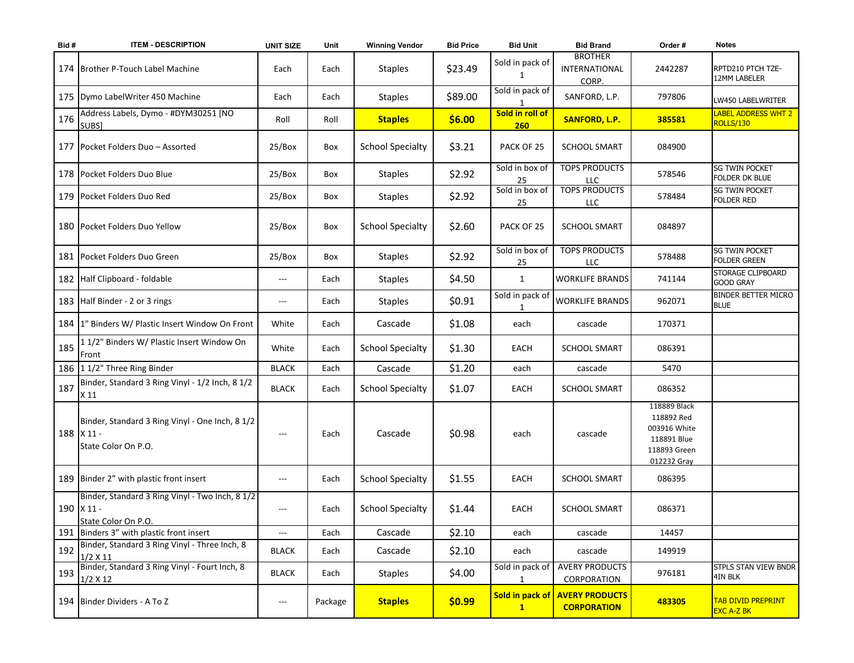| Bid# | <b>ITEM - DESCRIPTION</b>                                                            | <b>UNIT SIZE</b>       | Unit    | <b>Winning Vendor</b>   | <b>Bid Price</b> | <b>Bid Unit</b>                 | <b>Bid Brand</b>                            | Order#                                                                                   | <b>Notes</b>                                   |
|------|--------------------------------------------------------------------------------------|------------------------|---------|-------------------------|------------------|---------------------------------|---------------------------------------------|------------------------------------------------------------------------------------------|------------------------------------------------|
|      | 174   Brother P-Touch Label Machine                                                  | Each                   | Each    | <b>Staples</b>          | \$23.49          | Sold in pack of<br>1            | <b>BROTHER</b><br>INTERNATIONAL<br>CORP.    | 2442287                                                                                  | RPTD210 PTCH TZE-<br>12MM LABELER              |
|      | 175   Dymo Label Writer 450 Machine                                                  | Each                   | Each    | <b>Staples</b>          | \$89.00          | Sold in pack of                 | SANFORD, L.P.                               | 797806                                                                                   | LW450 LABELWRITER                              |
| 176  | Address Labels, Dymo - #DYM30251 [NO<br>SUBS]                                        | Roll                   | Roll    | <b>Staples</b>          | \$6.00           | Sold in roll of<br>260          | <b>SANFORD, L.P.</b>                        | 385581                                                                                   | LABEL ADDRESS WHT 2<br>ROLLS/130               |
|      | 177   Pocket Folders Duo – Assorted                                                  | 25/Box                 | Box     | <b>School Specialty</b> | \$3.21           | PACK OF 25                      | <b>SCHOOL SMART</b>                         | 084900                                                                                   |                                                |
|      | 178 Pocket Folders Duo Blue                                                          | 25/Box                 | Box     | <b>Staples</b>          | \$2.92           | Sold in box of<br>25            | <b>TOPS PRODUCTS</b><br>LLC                 | 578546                                                                                   | <b>SG TWIN POCKET</b><br>FOLDER DK BLUE        |
|      | 179 Pocket Folders Duo Red                                                           | 25/Box                 | Box     | <b>Staples</b>          | \$2.92           | Sold in box of<br>25            | <b>TOPS PRODUCTS</b><br>LLC                 | 578484                                                                                   | <b>SG TWIN POCKET</b><br><b>FOLDER RED</b>     |
|      | 180 Pocket Folders Duo Yellow                                                        | 25/Box                 | Box     | <b>School Specialty</b> | \$2.60           | PACK OF 25                      | <b>SCHOOL SMART</b>                         | 084897                                                                                   |                                                |
|      | 181 Pocket Folders Duo Green                                                         | 25/Box                 | Box     | <b>Staples</b>          | \$2.92           | Sold in box of<br>25            | <b>TOPS PRODUCTS</b><br>LLC                 | 578488                                                                                   | <b>SG TWIN POCKET</b><br><b>FOLDER GREEN</b>   |
|      | 182 Half Clipboard - foldable                                                        | $---$                  | Each    | <b>Staples</b>          | \$4.50           | $\mathbf{1}$                    | <b>WORKLIFE BRANDS</b>                      | 741144                                                                                   | <b>STORAGE CLIPBOARD</b><br><b>GOOD GRAY</b>   |
|      | 183 Half Binder - 2 or 3 rings                                                       | $---$                  | Each    | <b>Staples</b>          | \$0.91           | Sold in pack of<br>1            | <b>WORKLIFE BRANDS</b>                      | 962071                                                                                   | <b>BINDER BETTER MICRO</b><br><b>BLUE</b>      |
|      | 184   1" Binders W/ Plastic Insert Window On Front                                   | White                  | Each    | Cascade                 | \$1.08           | each                            | cascade                                     | 170371                                                                                   |                                                |
| 185  | 11/2" Binders W/ Plastic Insert Window On<br>Front                                   | White                  | Each    | <b>School Specialty</b> | \$1.30           | EACH                            | <b>SCHOOL SMART</b>                         | 086391                                                                                   |                                                |
|      | 186 11/2" Three Ring Binder                                                          | <b>BLACK</b>           | Each    | Cascade                 | \$1.20           | each                            | cascade                                     | 5470                                                                                     |                                                |
| 187  | Binder, Standard 3 Ring Vinyl - 1/2 Inch, 8 1/2<br>X 11                              | <b>BLACK</b>           | Each    | <b>School Specialty</b> | \$1.07           | EACH                            | <b>SCHOOL SMART</b>                         | 086352                                                                                   |                                                |
|      | Binder, Standard 3 Ring Vinyl - One Inch, 8 1/2<br>188 X 11 -<br>State Color On P.O. |                        | Each    | Cascade                 | \$0.98           | each                            | cascade                                     | 118889 Black<br>118892 Red<br>003916 White<br>118891 Blue<br>118893 Green<br>012232 Gray |                                                |
|      | 189 Binder 2" with plastic front insert                                              | $---$                  | Each    | <b>School Specialty</b> | \$1.55           | EACH                            | <b>SCHOOL SMART</b>                         | 086395                                                                                   |                                                |
|      | Binder, Standard 3 Ring Vinyl - Two Inch, 8 1/2<br>190 X 11 -<br>State Color On P.O. | $\qquad \qquad - -$    | Each    | <b>School Specialty</b> | \$1.44           | EACH                            | <b>SCHOOL SMART</b>                         | 086371                                                                                   |                                                |
|      | 191 Binders 3" with plastic front insert                                             | $---$                  | Each    | Cascade                 | \$2.10           | each                            | cascade                                     | 14457                                                                                    |                                                |
| 192  | Binder, Standard 3 Ring Vinyl - Three Inch, 8<br>$1/2$ X 11                          | <b>BLACK</b>           | Each    | Cascade                 | \$2.10           | each                            | cascade                                     | 149919                                                                                   |                                                |
| 193  | Binder, Standard 3 Ring Vinyl - Fourt Inch, 8<br>1/2 X 12                            | <b>BLACK</b>           | Each    | <b>Staples</b>          | \$4.00           | Sold in pack of<br>$\mathbf{1}$ | <b>AVERY PRODUCTS</b><br>CORPORATION        | 976181                                                                                   | STPLS STAN VIEW BNDR<br>4IN BLK                |
|      | 194 Binder Dividers - A To Z                                                         | $\qquad \qquad \cdots$ | Package | <b>Staples</b>          | \$0.99           | Sold in pack of<br>$\mathbf{1}$ | <b>AVERY PRODUCTS</b><br><b>CORPORATION</b> | 483305                                                                                   | <b>TAB DIVID PREPRINT</b><br><b>EXC A-Z BK</b> |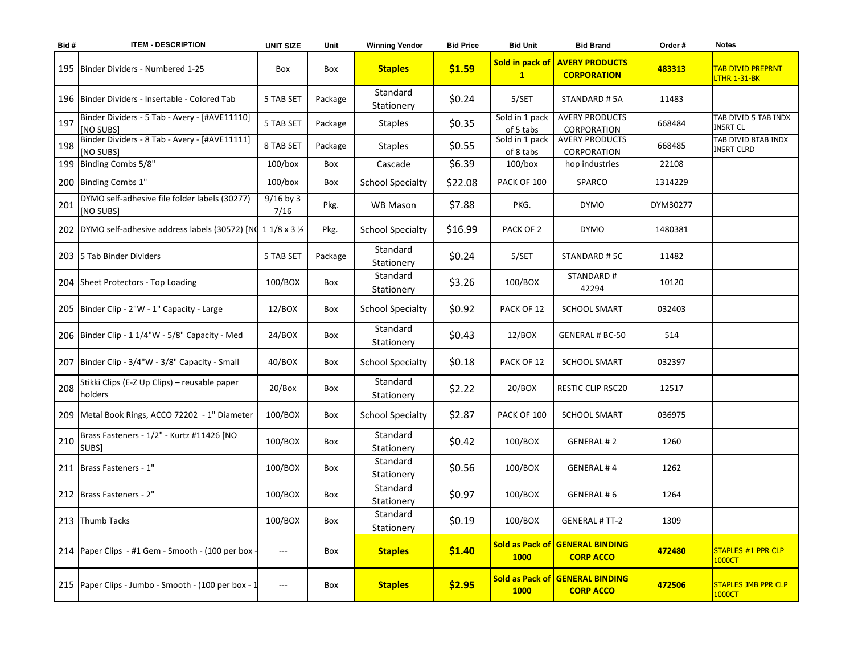| Bid# | <b>ITEM - DESCRIPTION</b>                                        | <b>UNIT SIZE</b>    | Unit    | <b>Winning Vendor</b>   | <b>Bid Price</b> | <b>Bid Unit</b>                 | <b>Bid Brand</b>                                    | Order #  | <b>Notes</b>                             |
|------|------------------------------------------------------------------|---------------------|---------|-------------------------|------------------|---------------------------------|-----------------------------------------------------|----------|------------------------------------------|
|      | 195 Binder Dividers - Numbered 1-25                              | Box                 | Box     | <b>Staples</b>          | \$1.59           | Sold in pack of<br>$\mathbf{1}$ | <b>AVERY PRODUCTS</b><br><b>CORPORATION</b>         | 483313   | <b>TAB DIVID PREPRNT</b><br>LTHR 1-31-BK |
|      | 196   Binder Dividers - Insertable - Colored Tab                 | 5 TAB SET           | Package | Standard<br>Stationery  | \$0.24           | 5/SET                           | STANDARD #5A                                        | 11483    |                                          |
| 197  | Binder Dividers - 5 Tab - Avery - [#AVE11110]<br>[NO SUBS]       | 5 TAB SET           | Package | <b>Staples</b>          | \$0.35           | Sold in 1 pack<br>of 5 tabs     | <b>AVERY PRODUCTS</b><br>CORPORATION                | 668484   | TAB DIVID 5 TAB INDX<br><b>INSRT CL</b>  |
| 198  | Binder Dividers - 8 Tab - Avery - [#AVE11111]<br>[NO SUBS]       | 8 TAB SET           | Package | <b>Staples</b>          | \$0.55           | Sold in 1 pack<br>of 8 tabs     | <b>AVERY PRODUCTS</b><br>CORPORATION                | 668485   | TAB DIVID 8TAB INDX<br><b>INSRT CLRD</b> |
|      | 199 Binding Combs 5/8"                                           | $100/b$ ox          | Box     | Cascade                 | \$6.39           | $100/b$ ox                      | hop industries                                      | 22108    |                                          |
|      | 200 Binding Combs 1"                                             | $100/b$ ox          | Box     | <b>School Specialty</b> | \$22.08          | PACK OF 100                     | SPARCO                                              | 1314229  |                                          |
| 201  | DYMO self-adhesive file folder labels (30277)<br>[NO SUBS]       | $9/16$ by 3<br>7/16 | Pkg.    | WB Mason                | \$7.88           | PKG.                            | <b>DYMO</b>                                         | DYM30277 |                                          |
|      | 202 DYMO self-adhesive address labels (30572) [NO 1 1/8 x 3 1/2] |                     | Pkg.    | <b>School Specialty</b> | \$16.99          | PACK OF 2                       | <b>DYMO</b>                                         | 1480381  |                                          |
|      | 203 5 Tab Binder Dividers                                        | 5 TAB SET           | Package | Standard<br>Stationery  | \$0.24           | 5/SET                           | STANDARD #5C                                        | 11482    |                                          |
|      | 204 Sheet Protectors - Top Loading                               | 100/BOX             | Box     | Standard<br>Stationery  | \$3.26           | 100/BOX                         | STANDARD #<br>42294                                 | 10120    |                                          |
|      | 205 Binder Clip - 2"W - 1" Capacity - Large                      | 12/BOX              | Box     | <b>School Specialty</b> | \$0.92           | PACK OF 12                      | <b>SCHOOL SMART</b>                                 | 032403   |                                          |
|      | 206 Binder Clip - 1 1/4"W - 5/8" Capacity - Med                  | 24/BOX              | Box     | Standard<br>Stationery  | \$0.43           | 12/BOX                          | <b>GENERAL # BC-50</b>                              | 514      |                                          |
|      | 207 Binder Clip - 3/4"W - 3/8" Capacity - Small                  | 40/BOX              | Box     | <b>School Specialty</b> | \$0.18           | PACK OF 12                      | <b>SCHOOL SMART</b>                                 | 032397   |                                          |
| 208  | Stikki Clips (E-Z Up Clips) - reusable paper<br>holders          | 20/Box              | Box     | Standard<br>Stationery  | \$2.22           | 20/BOX                          | RESTIC CLIP RSC20                                   | 12517    |                                          |
|      | 209   Metal Book Rings, ACCO 72202 - 1" Diameter                 | 100/BOX             | Box     | <b>School Specialty</b> | \$2.87           | PACK OF 100                     | <b>SCHOOL SMART</b>                                 | 036975   |                                          |
| 210  | Brass Fasteners - 1/2" - Kurtz #11426 [NO<br>SUBS]               | 100/BOX             | Box     | Standard<br>Stationery  | \$0.42           | 100/BOX                         | <b>GENERAL #2</b>                                   | 1260     |                                          |
|      | 211   Brass Fasteners - 1"                                       | 100/BOX             | Box     | Standard<br>Stationery  | \$0.56           | 100/BOX                         | <b>GENERAL#4</b>                                    | 1262     |                                          |
|      | 212 Brass Fasteners - 2"                                         | 100/BOX             | Box     | Standard<br>Stationery  | \$0.97           | 100/BOX                         | GENERAL #6                                          | 1264     |                                          |
|      | 213 Thumb Tacks                                                  | 100/BOX             | Box     | Standard<br>Stationery  | \$0.19           | 100/BOX                         | <b>GENERAL # TT-2</b>                               | 1309     |                                          |
|      | 214 Paper Clips - #1 Gem - Smooth - (100 per box -               | ---                 | Box     | <b>Staples</b>          | \$1.40           | <b>1000</b>                     | Sold as Pack of GENERAL BINDING<br><b>CORP ACCO</b> | 472480   | <b>STAPLES #1 PPR CLP</b><br>1000CT      |
|      | 215   Paper Clips - Jumbo - Smooth - (100 per box - 1            | ---                 | Box     | <b>Staples</b>          | \$2.95           | <b>1000</b>                     | Sold as Pack of GENERAL BINDING<br><b>CORP ACCO</b> | 472506   | <b>STAPLES JMB PPR CLP</b><br>1000CT     |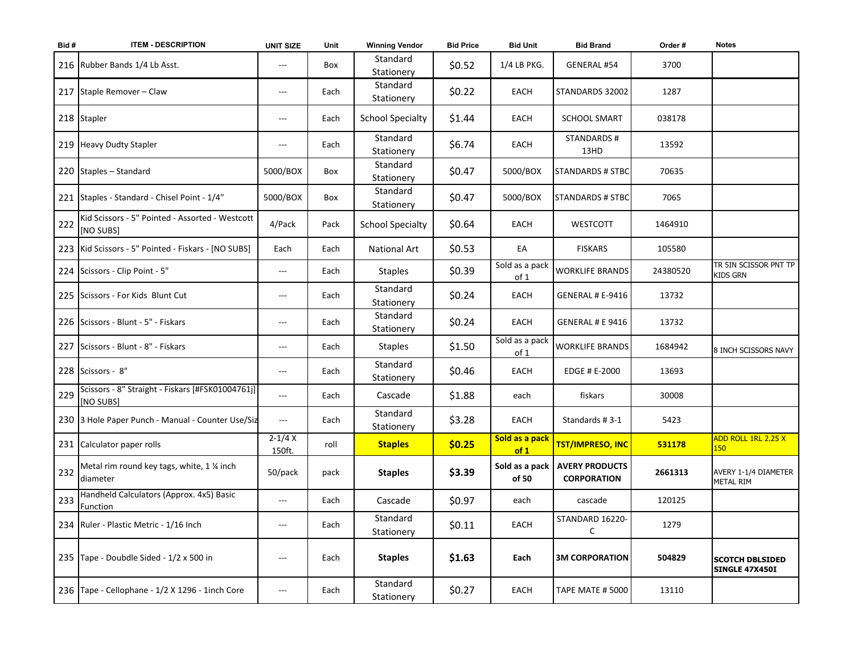| Bid# | <b>ITEM - DESCRIPTION</b>                                     | <b>UNIT SIZE</b>       | Unit | <b>Winning Vendor</b>   | <b>Bid Price</b> | <b>Bid Unit</b>        | <b>Bid Brand</b>                                      | Order #  | <b>Notes</b>                                    |
|------|---------------------------------------------------------------|------------------------|------|-------------------------|------------------|------------------------|-------------------------------------------------------|----------|-------------------------------------------------|
|      | 216 Rubber Bands 1/4 Lb Asst.                                 | $---$                  | Box  | Standard<br>Stationery  | \$0.52           | 1/4 LB PKG.            | GENERAL #54                                           | 3700     |                                                 |
|      | 217 Staple Remover - Claw                                     | $---$                  | Each | Standard<br>Stationery  | \$0.22           | EACH                   | STANDARDS 32002                                       | 1287     |                                                 |
|      | 218 Stapler                                                   | ---                    | Each | <b>School Specialty</b> | \$1.44           | EACH                   | <b>SCHOOL SMART</b>                                   | 038178   |                                                 |
|      | 219 Heavy Dudty Stapler                                       | $---$                  | Each | Standard<br>Stationery  | \$6.74           | EACH                   | <b>STANDARDS#</b><br>13HD                             | 13592    |                                                 |
|      | 220 Staples - Standard                                        | 5000/BOX               | Box  | Standard<br>Stationery  | \$0.47           | 5000/BOX               | <b>STANDARDS # STBC</b>                               | 70635    |                                                 |
|      | 221 Staples - Standard - Chisel Point - 1/4"                  | 5000/BOX               | Box  | Standard<br>Stationery  | \$0.47           | 5000/BOX               | <b>STANDARDS # STBC</b>                               | 7065     |                                                 |
| 222  | Kid Scissors - 5" Pointed - Assorted - Westcott<br>[NO SUBS]  | 4/Pack                 | Pack | <b>School Specialty</b> | \$0.64           | <b>EACH</b>            | <b>WESTCOTT</b>                                       | 1464910  |                                                 |
|      | 223   Kid Scissors - 5" Pointed - Fiskars - [NO SUBS]         | Each                   | Each | <b>National Art</b>     | \$0.53           | EA                     | <b>FISKARS</b>                                        | 105580   |                                                 |
|      | 224 Scissors - Clip Point - 5"                                | $---$                  | Each | <b>Staples</b>          | \$0.39           | Sold as a pack<br>of 1 | <b>WORKLIFE BRANDS</b>                                | 24380520 | tr 5In Scissor PNT TP<br><b>KIDS GRN</b>        |
|      | 225 Scissors - For Kids Blunt Cut                             | $---$                  | Each | Standard<br>Stationery  | \$0.24           | EACH                   | GENERAL # E-9416                                      | 13732    |                                                 |
|      | 226 Scissors - Blunt - 5" - Fiskars                           | $\qquad \qquad \cdots$ | Each | Standard<br>Stationery  | \$0.24           | EACH                   | GENERAL # E 9416                                      | 13732    |                                                 |
|      | 227 Scissors - Blunt - 8" - Fiskars                           | $---$                  | Each | <b>Staples</b>          | \$1.50           | Sold as a pack<br>of 1 | <b>WORKLIFE BRANDS</b>                                | 1684942  | 8 INCH SCISSORS NAVY                            |
|      | 228 Scissors - 8"                                             | $---$                  | Each | Standard<br>Stationery  | \$0.46           | EACH                   | EDGE # E-2000                                         | 13693    |                                                 |
| 229  | Scissors - 8" Straight - Fiskars [#FSK01004761j]<br>[NO SUBS] | $\qquad \qquad \cdots$ | Each | Cascade                 | \$1.88           | each                   | fiskars                                               | 30008    |                                                 |
|      | 230 3 Hole Paper Punch - Manual - Counter Use/Siz             | $\qquad \qquad - -$    | Each | Standard<br>Stationery  | \$3.28           | EACH                   | Standards #3-1                                        | 5423     |                                                 |
|      | 231 Calculator paper rolls                                    | $2-1/4X$<br>150ft.     | roll | <b>Staples</b>          | \$0.25           | Sold as a pack<br>of 1 | <b>TST/IMPRESO, INC</b>                               | 531178   | ADD ROLL 1RL 2.25 X<br>150 <sub>2</sub>         |
| 232  | Metal rim round key tags, white, 1 % inch<br>diameter         | 50/pack                | pack | <b>Staples</b>          | \$3.39           | of 50                  | Sold as a pack   AVERY PRODUCTS<br><b>CORPORATION</b> | 2661313  | AVERY 1-1/4 DIAMETER<br><b>METAL RIM</b>        |
| 233  | Handheld Calculators (Approx. 4x5) Basic<br>Function          | ---                    | Each | Cascade                 | \$0.97           | each                   | cascade                                               | 120125   |                                                 |
|      | 234   Ruler - Plastic Metric - 1/16 Inch                      | $---$                  | Each | Standard<br>Stationery  | \$0.11           | EACH                   | STANDARD 16220-<br>$\mathsf{C}$                       | 1279     |                                                 |
|      | 235 Tape - Doubdle Sided - 1/2 x 500 in                       | $---$                  | Each | <b>Staples</b>          | \$1.63           | Each                   | <b>3M CORPORATION</b>                                 | 504829   | <b>SCOTCH DBLSIDED</b><br><b>SINGLE 47X450I</b> |
|      | 236 Tape - Cellophane - 1/2 X 1296 - 1inch Core               | $---$                  | Each | Standard<br>Stationery  | \$0.27           | EACH                   | <b>TAPE MATE # 5000</b>                               | 13110    |                                                 |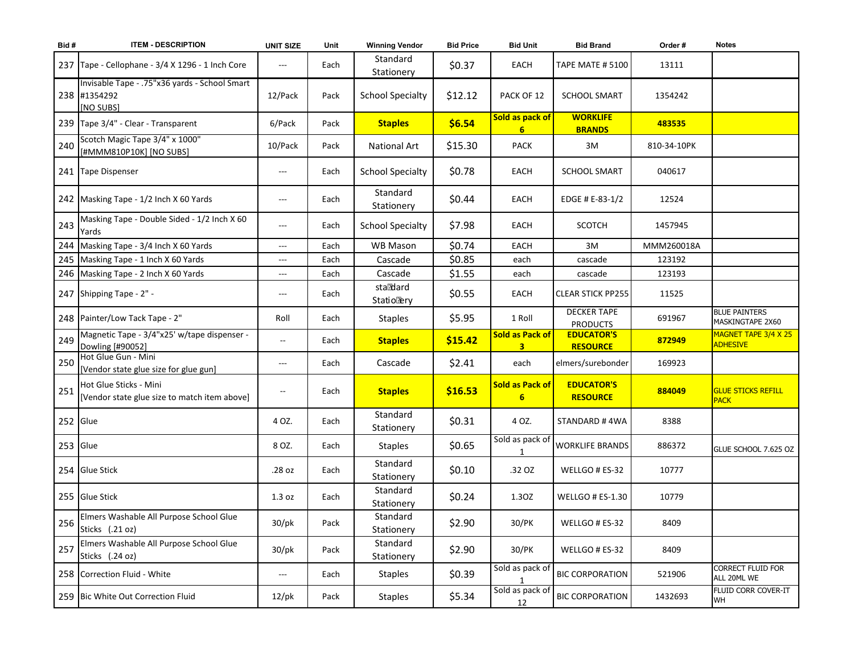| Bid#       | <b>ITEM - DESCRIPTION</b>                                                  | <b>UNIT SIZE</b>                         | Unit | <b>Winning Vendor</b>         | <b>Bid Price</b> | <b>Bid Unit</b>             | <b>Bid Brand</b>                      | Order#      | <b>Notes</b>                                                   |
|------------|----------------------------------------------------------------------------|------------------------------------------|------|-------------------------------|------------------|-----------------------------|---------------------------------------|-------------|----------------------------------------------------------------|
| 237        | Tape - Cellophane - 3/4 X 1296 - 1 Inch Core                               | $---$                                    | Each | Standard<br>Stationery        | \$0.37           | EACH                        | <b>TAPE MATE # 5100</b>               | 13111       |                                                                |
|            | Invisable Tape - .75"x36 yards - School Smart<br>238 #1354292<br>[NO SUBS] | 12/Pack                                  | Pack | <b>School Specialty</b>       | \$12.12          | PACK OF 12                  | <b>SCHOOL SMART</b>                   | 1354242     |                                                                |
|            | 239 Tape 3/4" - Clear - Transparent                                        | 6/Pack                                   | Pack | <b>Staples</b>                | \$6.54           | Sold as pack of<br>6        | <b>WORKLIFE</b><br><b>BRANDS</b>      | 483535      |                                                                |
| 240        | Scotch Magic Tape 3/4" x 1000"<br>[#MMM810P10K] [NO SUBS]                  | 10/Pack                                  | Pack | <b>National Art</b>           | \$15.30          | <b>PACK</b>                 | 3M                                    | 810-34-10PK |                                                                |
|            | 241 Tape Dispenser                                                         | $\hspace{0.05cm} \ldots$                 | Each | <b>School Specialty</b>       | \$0.78           | EACH                        | <b>SCHOOL SMART</b>                   | 040617      |                                                                |
|            | 242 Masking Tape - 1/2 Inch X 60 Yards                                     | $---$                                    | Each | Standard<br>Stationery        | \$0.44           | EACH                        | EDGE # E-83-1/2                       | 12524       |                                                                |
| 243        | Masking Tape - Double Sided - 1/2 Inch X 60<br>Yards                       | $---$                                    | Each | <b>School Specialty</b>       | \$7.98           | EACH                        | <b>SCOTCH</b>                         | 1457945     |                                                                |
|            | 244 Masking Tape - 3/4 Inch X 60 Yards                                     | $\hspace{0.05cm} \ldots$                 | Each | <b>WB Mason</b>               | \$0.74           | <b>EACH</b>                 | 3M                                    | MMM260018A  |                                                                |
|            | 245 Masking Tape - 1 Inch X 60 Yards                                       | ---                                      | Each | Cascade                       | \$0.85           | each                        | cascade                               | 123192      |                                                                |
|            | 246 Masking Tape - 2 Inch X 60 Yards                                       | $\hspace{0.05cm} \ldots$                 | Each | Cascade                       | \$1.55           | each                        | cascade                               | 123193      |                                                                |
|            | 247 Shipping Tape - 2" -                                                   | $\hspace{0.05cm} \ldots \hspace{0.05cm}$ | Each | staddard<br><b>StatioRery</b> | \$0.55           | EACH                        | <b>CLEAR STICK PP255</b>              | 11525       |                                                                |
|            | 248 Painter/Low Tack Tape - 2"                                             | Roll                                     | Each | <b>Staples</b>                | \$5.95           | 1 Roll                      | <b>DECKER TAPE</b><br><b>PRODUCTS</b> | 691967      | <b>BLUE PAINTERS</b><br>MASKINGTAPE 2X60                       |
|            | Magnetic Tape - 3/4"x25' w/tape dispenser -                                | $\overline{\phantom{a}}$                 |      |                               |                  | <b>Sold as Pack of</b>      | <b>EDUCATOR'S</b>                     |             | MAGNET TAPE 3/4 X 25                                           |
| 249        | Dowling [#90052]                                                           |                                          | Each | <b>Staples</b>                | \$15.42          | $\overline{\mathbf{3}}$     | <b>RESOURCE</b>                       | 872949      | <b>ADHESIVE</b>                                                |
| 250        | Hot Glue Gun - Mini<br>[Vendor state glue size for glue gun]               | $---$                                    | Each | Cascade                       | \$2.41           | each                        | elmers/surebonder                     | 169923      |                                                                |
| 251        | Hot Glue Sticks - Mini<br>[Vendor state glue size to match item above]     | --                                       | Each | <b>Staples</b>                | \$16.53          | <b>Sold as Pack of</b><br>6 | <b>EDUCATOR'S</b><br><b>RESOURCE</b>  | 884049      | <b>GLUE STICKS REFILL</b><br><b>PACK</b>                       |
| $252$ Glue |                                                                            | 4 OZ.                                    | Each | Standard<br>Stationery        | \$0.31           | 4 OZ.                       | STANDARD #4WA                         | 8388        |                                                                |
| 253 Glue   |                                                                            | 8 OZ.                                    | Each | <b>Staples</b>                | \$0.65           | Sold as pack of<br>1        | <b>WORKLIFE BRANDS</b>                | 886372      | GLUE SCHOOL 7.625 OZ                                           |
|            | 254 Glue Stick                                                             | .28 oz                                   | Each | Standard<br>Stationery        | \$0.10           | .32 OZ                      | WELLGO # ES-32                        | 10777       |                                                                |
|            | 255 Glue Stick                                                             | 1.3 oz                                   | Each | Standard<br>Stationery        | \$0.24           | 1.30Z                       | <b>WELLGO # ES-1.30</b>               | 10779       |                                                                |
| 256        | Elmers Washable All Purpose School Glue<br>Sticks (.21 oz)                 | $30$ /pk                                 | Pack | Standard<br>Stationery        | \$2.90           | 30/PK                       | WELLGO # ES-32                        | 8409        |                                                                |
| 257        | Elmers Washable All Purpose School Glue<br>Sticks (.24 oz)                 | $30$ /pk                                 | Pack | Standard<br>Stationery        | \$2.90           | 30/PK                       | WELLGO # ES-32                        | 8409        |                                                                |
|            | 258 Correction Fluid - White                                               | $\hspace{0.05cm} \ldots$                 | Each | <b>Staples</b>                | \$0.39           | Sold as pack of             | <b>BIC CORPORATION</b>                | 521906      | <b>CORRECT FLUID FOR</b><br>ALL 20ML WE<br>FLUID CORR COVER-IT |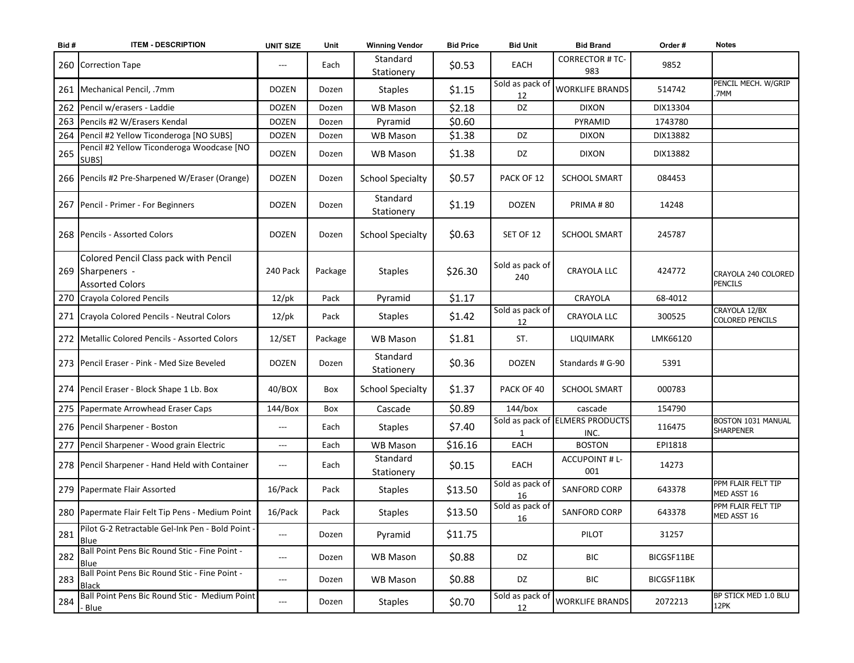| Bid# | <b>ITEM - DESCRIPTION</b>                                                           | <b>UNIT SIZE</b>    | Unit    | <b>Winning Vendor</b>   | <b>Bid Price</b> | <b>Bid Unit</b>        | <b>Bid Brand</b>                        | Order#     | <b>Notes</b>                            |
|------|-------------------------------------------------------------------------------------|---------------------|---------|-------------------------|------------------|------------------------|-----------------------------------------|------------|-----------------------------------------|
|      | 260 Correction Tape                                                                 | $---$               | Each    | Standard<br>Stationery  | \$0.53           | EACH                   | <b>CORRECTOR # TC-</b><br>983           | 9852       |                                         |
|      | 261   Mechanical Pencil, .7mm                                                       | <b>DOZEN</b>        | Dozen   | <b>Staples</b>          | \$1.15           | Sold as pack of<br>12  | <b>WORKLIFE BRANDS</b>                  | 514742     | PENCIL MECH. W/GRIP<br>.7MM             |
| 262  | Pencil w/erasers - Laddie                                                           | <b>DOZEN</b>        | Dozen   | <b>WB Mason</b>         | \$2.18           | DZ                     | <b>DIXON</b>                            | DIX13304   |                                         |
| 263  | Pencils #2 W/Erasers Kendal                                                         | <b>DOZEN</b>        | Dozen   | Pyramid                 | \$0.60           |                        | PYRAMID                                 | 1743780    |                                         |
| 264  | Pencil #2 Yellow Ticonderoga [NO SUBS]                                              | <b>DOZEN</b>        | Dozen   | <b>WB Mason</b>         | \$1.38           | DZ                     | <b>DIXON</b>                            | DIX13882   |                                         |
| 265  | Pencil #2 Yellow Ticonderoga Woodcase [NO<br>SUBS]                                  | <b>DOZEN</b>        | Dozen   | WB Mason                | \$1.38           | DZ                     | <b>DIXON</b>                            | DIX13882   |                                         |
|      | 266 Pencils #2 Pre-Sharpened W/Eraser (Orange)                                      | <b>DOZEN</b>        | Dozen   | <b>School Specialty</b> | \$0.57           | PACK OF 12             | <b>SCHOOL SMART</b>                     | 084453     |                                         |
|      | 267   Pencil - Primer - For Beginners                                               | <b>DOZEN</b>        | Dozen   | Standard<br>Stationery  | \$1.19           | <b>DOZEN</b>           | PRIMA#80                                | 14248      |                                         |
|      | 268 Pencils - Assorted Colors                                                       | <b>DOZEN</b>        | Dozen   | <b>School Specialty</b> | \$0.63           | SET OF 12              | <b>SCHOOL SMART</b>                     | 245787     |                                         |
|      | Colored Pencil Class pack with Pencil<br>269 Sharpeners -<br><b>Assorted Colors</b> | 240 Pack            | Package | <b>Staples</b>          | \$26.30          | Sold as pack of<br>240 | <b>CRAYOLA LLC</b>                      | 424772     | CRAYOLA 240 COLORED<br>PENCILS          |
|      | 270 Crayola Colored Pencils                                                         | $12$ /pk            | Pack    | Pyramid                 | \$1.17           |                        | CRAYOLA                                 | 68-4012    |                                         |
|      | 271 Crayola Colored Pencils - Neutral Colors                                        | $12$ /pk            | Pack    | <b>Staples</b>          | \$1.42           | Sold as pack of<br>12  | <b>CRAYOLA LLC</b>                      | 300525     | CRAYOLA 12/BX<br><b>COLORED PENCILS</b> |
|      | 272   Metallic Colored Pencils - Assorted Colors                                    | 12/SET              | Package | <b>WB Mason</b>         | \$1.81           | ST.                    | LIQUIMARK                               | LMK66120   |                                         |
|      | 273 Pencil Eraser - Pink - Med Size Beveled                                         | <b>DOZEN</b>        | Dozen   | Standard<br>Stationery  | \$0.36           | <b>DOZEN</b>           | Standards # G-90                        | 5391       |                                         |
|      | 274 Pencil Eraser - Block Shape 1 Lb. Box                                           | 40/BOX              | Box     | <b>School Specialty</b> | \$1.37           | PACK OF 40             | <b>SCHOOL SMART</b>                     | 000783     |                                         |
|      | 275 Papermate Arrowhead Eraser Caps                                                 | 144/Box             | Box     | Cascade                 | \$0.89           | 144/box                | cascade                                 | 154790     |                                         |
|      | 276 Pencil Sharpener - Boston                                                       | $---$               | Each    | <b>Staples</b>          | \$7.40           |                        | Sold as pack of ELMERS PRODUCTS<br>INC. | 116475     | BOSTON 1031 MANUAL<br><b>SHARPENER</b>  |
|      | 277 Pencil Sharpener - Wood grain Electric                                          | ---                 | Each    | <b>WB Mason</b>         | \$16.16          | EACH                   | <b>BOSTON</b>                           | EPI1818    |                                         |
|      | 278 Pencil Sharpener - Hand Held with Container                                     | $\qquad \qquad - -$ | Each    | Standard<br>Stationery  | \$0.15           | EACH                   | <b>ACCUPOINT # L-</b><br>001            | 14273      |                                         |
|      | 279 Papermate Flair Assorted                                                        | 16/Pack             | Pack    | <b>Staples</b>          | \$13.50          | Sold as pack of<br>16  | <b>SANFORD CORP</b>                     | 643378     | PPM FLAIR FELT TIP<br>MED ASST 16       |
|      | 280 Papermate Flair Felt Tip Pens - Medium Point                                    | 16/Pack             | Pack    | <b>Staples</b>          | \$13.50          | Sold as pack of<br>16  | <b>SANFORD CORP</b>                     | 643378     | PPM FLAIR FELT TIP<br>MED ASST 16       |
| 281  | Pilot G-2 Retractable Gel-Ink Pen - Bold Point -<br>Blue                            | $---$               | Dozen   | Pyramid                 | \$11.75          |                        | PILOT                                   | 31257      |                                         |
| 282  | Ball Point Pens Bic Round Stic - Fine Point -<br>Blue                               | $---$               | Dozen   | WB Mason                | \$0.88           | DZ                     | <b>BIC</b>                              | BICGSF11BE |                                         |
| 283  | Ball Point Pens Bic Round Stic - Fine Point -<br><b>Black</b>                       | $---$               | Dozen   | WB Mason                | \$0.88           | DZ                     | BIC                                     | BICGSF11BK |                                         |
| 284  | Ball Point Pens Bic Round Stic - Medium Point<br>- Blue                             | $---$               | Dozen   | <b>Staples</b>          | \$0.70           | Sold as pack of<br>12  | <b>WORKLIFE BRANDS</b>                  | 2072213    | BP STICK MED 1.0 BLU<br>12PK            |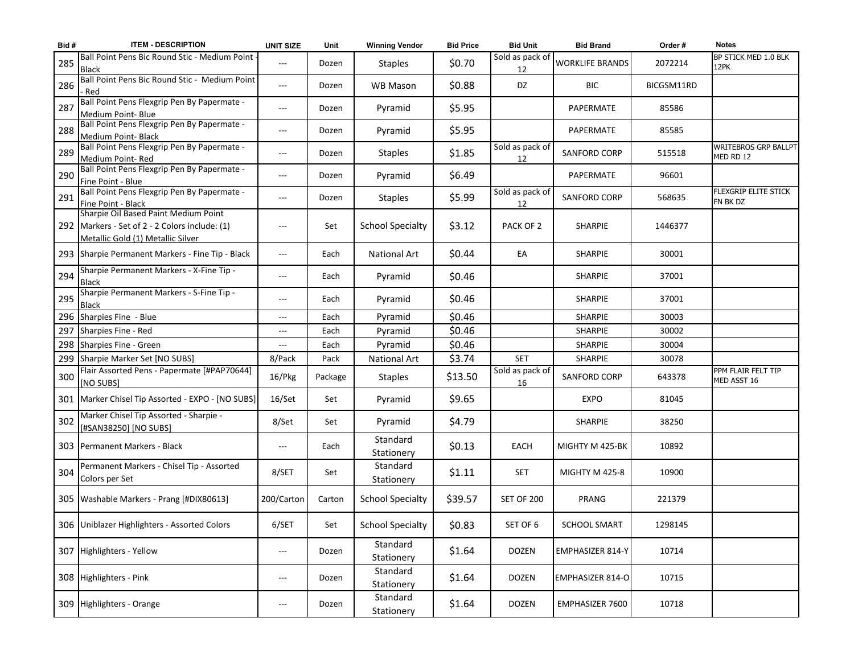| Bid# | <b>ITEM - DESCRIPTION</b>                                                                                                   | <b>UNIT SIZE</b>  | Unit    | <b>Winning Vendor</b>   | <b>Bid Price</b> | <b>Bid Unit</b>       | <b>Bid Brand</b>       | Order#     | <b>Notes</b>                             |
|------|-----------------------------------------------------------------------------------------------------------------------------|-------------------|---------|-------------------------|------------------|-----------------------|------------------------|------------|------------------------------------------|
| 285  | Ball Point Pens Bic Round Stic - Medium Point<br><b>Black</b>                                                               | $---$             | Dozen   | <b>Staples</b>          | \$0.70           | Sold as pack of<br>12 | <b>WORKLIFE BRANDS</b> | 2072214    | BP STICK MED 1.0 BLK<br>12PK             |
| 286  | Ball Point Pens Bic Round Stic - Medium Point<br>- Red                                                                      | $---$             | Dozen   | <b>WB Mason</b>         | \$0.88           | DZ                    | <b>BIC</b>             | BICGSM11RD |                                          |
| 287  | Ball Point Pens Flexgrip Pen By Papermate -<br>Medium Point- Blue                                                           | $---$             | Dozen   | Pyramid                 | \$5.95           |                       | PAPERMATE              | 85586      |                                          |
| 288  | Ball Point Pens Flexgrip Pen By Papermate -<br>Medium Point- Black                                                          | $---$             | Dozen   | Pyramid                 | \$5.95           |                       | PAPERMATE              | 85585      |                                          |
| 289  | Ball Point Pens Flexgrip Pen By Papermate -<br>Medium Point-Red                                                             | $---$             | Dozen   | <b>Staples</b>          | \$1.85           | Sold as pack of<br>12 | <b>SANFORD CORP</b>    | 515518     | <b>WRITEBROS GRP BALLPT</b><br>MED RD 12 |
| 290  | Ball Point Pens Flexgrip Pen By Papermate -<br>Fine Point - Blue                                                            | $---$             | Dozen   | Pyramid                 | \$6.49           |                       | PAPERMATE              | 96601      |                                          |
| 291  | Ball Point Pens Flexgrip Pen By Papermate -<br>Fine Point - Black                                                           | $---$             | Dozen   | <b>Staples</b>          | \$5.99           | Sold as pack of<br>12 | <b>SANFORD CORP</b>    | 568635     | FLEXGRIP ELITE STICK<br>FN BK DZ         |
|      | Sharpie Oil Based Paint Medium Point<br>292 Markers - Set of 2 - 2 Colors include: (1)<br>Metallic Gold (1) Metallic Silver | ---               | Set     | <b>School Specialty</b> | \$3.12           | PACK OF 2             | <b>SHARPIE</b>         | 1446377    |                                          |
|      | 293 Sharpie Permanent Markers - Fine Tip - Black                                                                            | $---$             | Each    | <b>National Art</b>     | \$0.44           | EA                    | <b>SHARPIE</b>         | 30001      |                                          |
| 294  | Sharpie Permanent Markers - X-Fine Tip -<br><b>Black</b>                                                                    | $---$             | Each    | Pyramid                 | \$0.46           |                       | SHARPIE                | 37001      |                                          |
| 295  | Sharpie Permanent Markers - S-Fine Tip -<br><b>Black</b>                                                                    | $---$             | Each    | Pyramid                 | \$0.46           |                       | <b>SHARPIE</b>         | 37001      |                                          |
|      | 296 Sharpies Fine - Blue                                                                                                    | $\qquad \qquad -$ | Each    | Pyramid                 | \$0.46           |                       | <b>SHARPIE</b>         | 30003      |                                          |
| 297  | Sharpies Fine - Red                                                                                                         | $---$             | Each    | Pyramid                 | \$0.46           |                       | <b>SHARPIE</b>         | 30002      |                                          |
|      | 298 Sharpies Fine - Green                                                                                                   | ---               | Each    | Pyramid                 | \$0.46           |                       | <b>SHARPIE</b>         | 30004      |                                          |
|      | 299 Sharpie Marker Set [NO SUBS]                                                                                            | 8/Pack            | Pack    | <b>National Art</b>     | \$3.74           | <b>SET</b>            | <b>SHARPIE</b>         | 30078      |                                          |
| 300  | Flair Assorted Pens - Papermate [#PAP70644]<br>[NO SUBS]                                                                    | 16/Pkg            | Package | <b>Staples</b>          | \$13.50          | Sold as pack of<br>16 | <b>SANFORD CORP</b>    | 643378     | PPM FLAIR FELT TIP<br>MED ASST 16        |
|      | 301   Marker Chisel Tip Assorted - EXPO - [NO SUBS]                                                                         | 16/Set            | Set     | Pyramid                 | \$9.65           |                       | <b>EXPO</b>            | 81045      |                                          |
| 302  | Marker Chisel Tip Assorted - Sharpie -<br>[#SAN38250] [NO SUBS]                                                             | 8/Set             | Set     | Pyramid                 | \$4.79           |                       | SHARPIE                | 38250      |                                          |
|      | 303 Permanent Markers - Black                                                                                               | ---               | Each    | Standard<br>Stationery  | \$0.13           | EACH                  | MIGHTY M 425-BK        | 10892      |                                          |
| 304  | Permanent Markers - Chisel Tip - Assorted<br>Colors per Set                                                                 | 8/SET             | Set     | Standard<br>Stationery  | \$1.11           | <b>SET</b>            | <b>MIGHTY M 425-8</b>  | 10900      |                                          |
|      | 305   Washable Markers - Prang [#DIX80613]                                                                                  | 200/Carton        | Carton  | <b>School Specialty</b> | \$39.57          | <b>SET OF 200</b>     | PRANG                  | 221379     |                                          |
|      | 306 Uniblazer Highlighters - Assorted Colors                                                                                | 6/SET             | Set     | <b>School Specialty</b> | \$0.83           | SET OF 6              | <b>SCHOOL SMART</b>    | 1298145    |                                          |
|      | 307 Highlighters - Yellow                                                                                                   | ---               | Dozen   | Standard<br>Stationery  | \$1.64           | <b>DOZEN</b>          | EMPHASIZER 814-Y       | 10714      |                                          |
|      | 308 Highlighters - Pink                                                                                                     | $---$             | Dozen   | Standard<br>Stationery  | \$1.64           | <b>DOZEN</b>          | EMPHASIZER 814-O       | 10715      |                                          |
|      | 309 Highlighters - Orange                                                                                                   | ---               | Dozen   | Standard<br>Stationery  | \$1.64           | <b>DOZEN</b>          | EMPHASIZER 7600        | 10718      |                                          |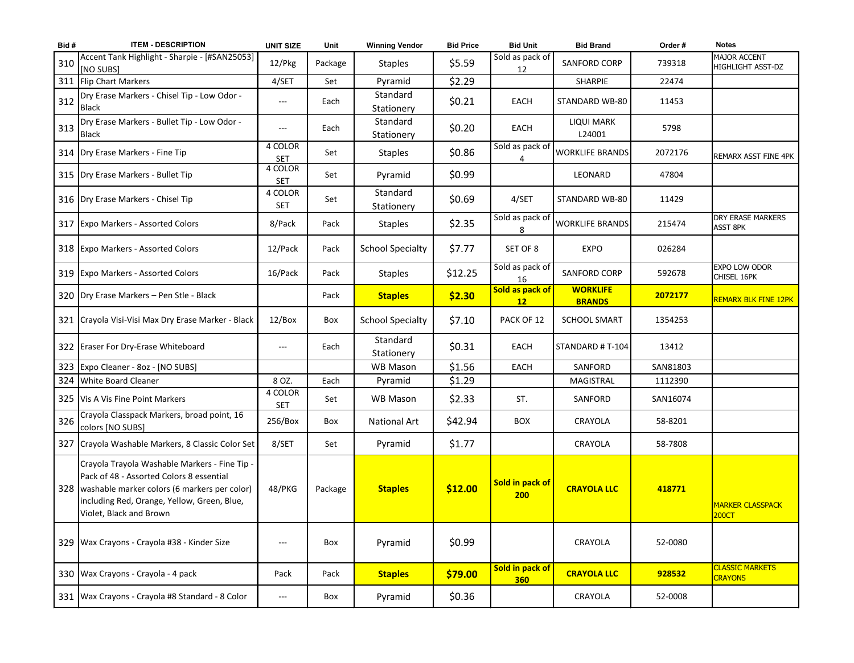| Bid# | <b>ITEM - DESCRIPTION</b>                                                                                                                                                                                               | <b>UNIT SIZE</b>      | Unit    | <b>Winning Vendor</b>   | <b>Bid Price</b> | <b>Bid Unit</b>               | <b>Bid Brand</b>                 | Order #  | <b>Notes</b>                                |
|------|-------------------------------------------------------------------------------------------------------------------------------------------------------------------------------------------------------------------------|-----------------------|---------|-------------------------|------------------|-------------------------------|----------------------------------|----------|---------------------------------------------|
| 310  | Accent Tank Highlight - Sharpie - [#SAN25053]<br>[NO SUBS]                                                                                                                                                              | 12/Pkg                | Package | <b>Staples</b>          | \$5.59           | Sold as pack of<br>12         | <b>SANFORD CORP</b>              | 739318   | MAJOR ACCENT<br>HIGHLIGHT ASST-DZ           |
| 311  | <b>Flip Chart Markers</b>                                                                                                                                                                                               | 4/SET                 | Set     | Pyramid                 | \$2.29           |                               | SHARPIE                          | 22474    |                                             |
| 312  | Dry Erase Markers - Chisel Tip - Low Odor -<br><b>Black</b>                                                                                                                                                             | $---$                 | Each    | Standard<br>Stationery  | \$0.21           | EACH                          | STANDARD WB-80                   | 11453    |                                             |
| 313  | Dry Erase Markers - Bullet Tip - Low Odor -<br><b>Black</b>                                                                                                                                                             | $---$                 | Each    | Standard<br>Stationery  | \$0.20           | EACH                          | LIQUI MARK<br>L24001             | 5798     |                                             |
|      | 314 Dry Erase Markers - Fine Tip                                                                                                                                                                                        | 4 COLOR<br><b>SET</b> | Set     | <b>Staples</b>          | \$0.86           | Sold as pack of<br>4          | <b>WORKLIFE BRANDS</b>           | 2072176  | REMARX ASST FINE 4PK                        |
|      | 315   Dry Erase Markers - Bullet Tip                                                                                                                                                                                    | 4 COLOR<br><b>SET</b> | Set     | Pyramid                 | \$0.99           |                               | LEONARD                          | 47804    |                                             |
|      | 316   Dry Erase Markers - Chisel Tip                                                                                                                                                                                    | 4 COLOR<br><b>SET</b> | Set     | Standard<br>Stationery  | \$0.69           | 4/SET                         | STANDARD WB-80                   | 11429    |                                             |
|      | 317 Expo Markers - Assorted Colors                                                                                                                                                                                      | 8/Pack                | Pack    | <b>Staples</b>          | \$2.35           | Sold as pack of<br>8          | <b>WORKLIFE BRANDS</b>           | 215474   | <b>DRY ERASE MARKERS</b><br><b>ASST 8PK</b> |
|      | 318 Expo Markers - Assorted Colors                                                                                                                                                                                      | 12/Pack               | Pack    | <b>School Specialty</b> | \$7.77           | SET OF 8                      | <b>EXPO</b>                      | 026284   |                                             |
|      | 319 Expo Markers - Assorted Colors                                                                                                                                                                                      | 16/Pack               | Pack    | <b>Staples</b>          | \$12.25          | Sold as pack of<br>16         | <b>SANFORD CORP</b>              | 592678   | EXPO LOW ODOR<br>CHISEL 16PK                |
|      | 320 Dry Erase Markers - Pen Stle - Black                                                                                                                                                                                |                       | Pack    | <b>Staples</b>          | \$2.30           | Sold as pack of<br>12         | <b>WORKLIFE</b><br><b>BRANDS</b> | 2072177  | <b>REMARX BLK FINE 12PK</b>                 |
|      | 321 Crayola Visi-Visi Max Dry Erase Marker - Black                                                                                                                                                                      | 12/Box                | Box     | <b>School Specialty</b> | \$7.10           | PACK OF 12                    | <b>SCHOOL SMART</b>              | 1354253  |                                             |
|      | 322 Eraser For Dry-Erase Whiteboard                                                                                                                                                                                     | $---$                 | Each    | Standard<br>Stationery  | \$0.31           | EACH                          | STANDARD # T-104                 | 13412    |                                             |
|      | 323 Expo Cleaner - 8oz - [NO SUBS]                                                                                                                                                                                      |                       |         | <b>WB Mason</b>         | \$1.56           | <b>EACH</b>                   | SANFORD                          | SAN81803 |                                             |
|      | 324 White Board Cleaner                                                                                                                                                                                                 | 8 OZ.                 | Each    | Pyramid                 | \$1.29           |                               | <b>MAGISTRAL</b>                 | 1112390  |                                             |
|      | 325 Vis A Vis Fine Point Markers                                                                                                                                                                                        | 4 COLOR<br><b>SET</b> | Set     | <b>WB Mason</b>         | \$2.33           | ST.                           | SANFORD                          | SAN16074 |                                             |
| 326  | Crayola Classpack Markers, broad point, 16<br>colors [NO SUBS]                                                                                                                                                          | 256/Box               | Box     | National Art            | \$42.94          | <b>BOX</b>                    | CRAYOLA                          | 58-8201  |                                             |
|      | 327 Crayola Washable Markers, 8 Classic Color Set                                                                                                                                                                       | 8/SET                 | Set     | Pyramid                 | \$1.77           |                               | CRAYOLA                          | 58-7808  |                                             |
|      | Crayola Trayola Washable Markers - Fine Tip -<br>Pack of 48 - Assorted Colors 8 essential<br>328 washable marker colors (6 markers per color)<br>including Red, Orange, Yellow, Green, Blue,<br>Violet, Black and Brown | 48/PKG                | Package | <b>Staples</b>          | \$12.00          | Sold in pack of<br>200        | <b>CRAYOLA LLC</b>               | 418771   | <b>MARKER CLASSPACK</b><br>200CT            |
|      | 329   Wax Crayons - Crayola #38 - Kinder Size                                                                                                                                                                           | $---$                 | Box     | Pyramid                 | \$0.99           |                               | CRAYOLA                          | 52-0080  |                                             |
|      | 330 Wax Crayons - Crayola - 4 pack                                                                                                                                                                                      | Pack                  | Pack    | <b>Staples</b>          | \$79.00          | Sold in pack of<br><b>360</b> | <b>CRAYOLA LLC</b>               | 928532   | <b>CLASSIC MARKETS</b><br><b>CRAYONS</b>    |
|      | 331 Wax Crayons - Crayola #8 Standard - 8 Color                                                                                                                                                                         | $---$                 | Box     | Pyramid                 | \$0.36           |                               | CRAYOLA                          | 52-0008  |                                             |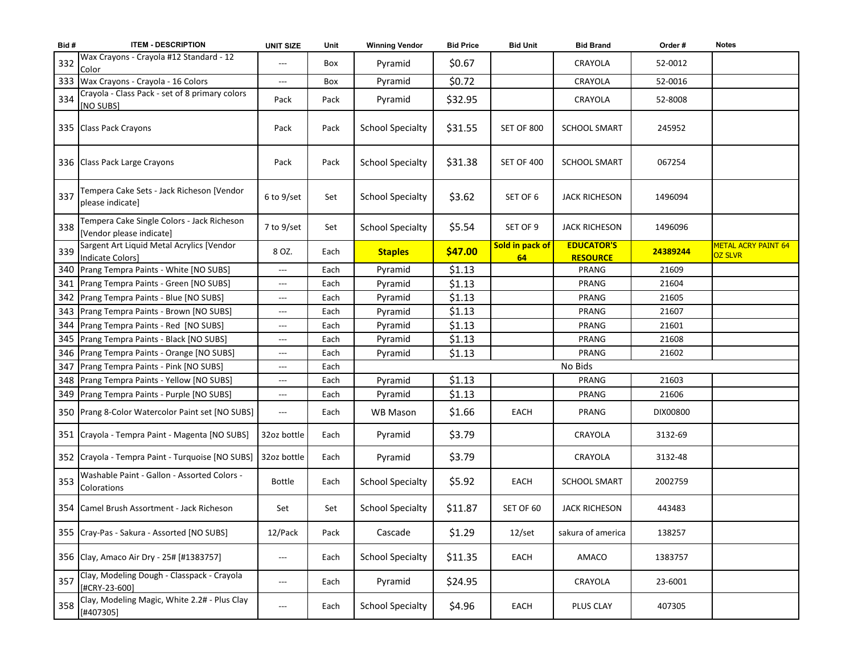| Bid# | <b>ITEM - DESCRIPTION</b>                                              | <b>UNIT SIZE</b>    | Unit | <b>Winning Vendor</b>   | <b>Bid Price</b> | <b>Bid Unit</b>       | <b>Bid Brand</b>                     | Order #  | <b>Notes</b>                                 |
|------|------------------------------------------------------------------------|---------------------|------|-------------------------|------------------|-----------------------|--------------------------------------|----------|----------------------------------------------|
| 332  | Wax Crayons - Crayola #12 Standard - 12<br>Color                       |                     | Box  | Pyramid                 | \$0.67           |                       | CRAYOLA                              | 52-0012  |                                              |
| 333  | Wax Crayons - Crayola - 16 Colors                                      | $\qquad \qquad - -$ | Box  | Pyramid                 | \$0.72           |                       | CRAYOLA                              | 52-0016  |                                              |
| 334  | Crayola - Class Pack - set of 8 primary colors<br>[NO SUBS]            | Pack                | Pack | Pyramid                 | \$32.95          |                       | CRAYOLA                              | 52-8008  |                                              |
|      | 335 Class Pack Crayons                                                 | Pack                | Pack | <b>School Specialty</b> | \$31.55          | <b>SET OF 800</b>     | <b>SCHOOL SMART</b>                  | 245952   |                                              |
|      | 336 Class Pack Large Crayons                                           | Pack                | Pack | <b>School Specialty</b> | \$31.38          | <b>SET OF 400</b>     | <b>SCHOOL SMART</b>                  | 067254   |                                              |
| 337  | Tempera Cake Sets - Jack Richeson [Vendor<br>please indicate]          | $6$ to $9$ /set     | Set  | <b>School Specialty</b> | \$3.62           | SET OF 6              | <b>JACK RICHESON</b>                 | 1496094  |                                              |
| 338  | Tempera Cake Single Colors - Jack Richeson<br>[Vendor please indicate] | 7 to 9/set          | Set  | <b>School Specialty</b> | \$5.54           | SET OF 9              | <b>JACK RICHESON</b>                 | 1496096  |                                              |
| 339  | Sargent Art Liquid Metal Acrylics [Vendor<br><b>Indicate Colors]</b>   | 8 OZ.               | Each | <b>Staples</b>          | \$47.00          | Sold in pack of<br>64 | <b>EDUCATOR'S</b><br><b>RESOURCE</b> | 24389244 | <b>METAL ACRY PAINT 64</b><br><b>OZ SLVR</b> |
| 340  | Prang Tempra Paints - White [NO SUBS]                                  | $\qquad \qquad - -$ | Each | Pyramid                 | \$1.13           |                       | <b>PRANG</b>                         | 21609    |                                              |
|      | 341   Prang Tempra Paints - Green [NO SUBS]                            | $\qquad \qquad - -$ | Each | Pyramid                 | \$1.13           |                       | <b>PRANG</b>                         | 21604    |                                              |
| 342  | Prang Tempra Paints - Blue [NO SUBS]                                   | $\qquad \qquad - -$ | Each | Pyramid                 | \$1.13           |                       | PRANG                                | 21605    |                                              |
|      | 343   Prang Tempra Paints - Brown [NO SUBS]                            | $\qquad \qquad - -$ | Each | Pyramid                 | \$1.13           |                       | <b>PRANG</b>                         | 21607    |                                              |
| 344  | Prang Tempra Paints - Red [NO SUBS]                                    | $\qquad \qquad - -$ | Each | Pyramid                 | \$1.13           |                       | PRANG                                | 21601    |                                              |
|      | 345   Prang Tempra Paints - Black [NO SUBS]                            | $---$               | Each | Pyramid                 | \$1.13           |                       | PRANG                                | 21608    |                                              |
|      | 346 Prang Tempra Paints - Orange [NO SUBS]                             | $\qquad \qquad - -$ | Each | Pyramid                 | \$1.13           |                       | PRANG                                | 21602    |                                              |
|      | 347   Prang Tempra Paints - Pink [NO SUBS]                             | ---                 | Each |                         |                  |                       | No Bids                              |          |                                              |
|      | 348   Prang Tempra Paints - Yellow [NO SUBS]                           | ---                 | Each | Pyramid                 | \$1.13           |                       | PRANG                                | 21603    |                                              |
|      | 349 Prang Tempra Paints - Purple [NO SUBS]                             | ---                 | Each | Pyramid                 | \$1.13           |                       | PRANG                                | 21606    |                                              |
|      | 350 Prang 8-Color Watercolor Paint set [NO SUBS]                       | ---                 | Each | <b>WB Mason</b>         | \$1.66           | EACH                  | PRANG                                | DIX00800 |                                              |
|      | 351 Crayola - Tempra Paint - Magenta [NO SUBS]                         | 32oz bottle         | Each | Pyramid                 | \$3.79           |                       | CRAYOLA                              | 3132-69  |                                              |
|      | 352 Crayola - Tempra Paint - Turquoise [NO SUBS]                       | 32oz bottle         | Each | Pyramid                 | \$3.79           |                       | CRAYOLA                              | 3132-48  |                                              |
| 353  | Washable Paint - Gallon - Assorted Colors -<br>Colorations             | Bottle              | Each | <b>School Specialty</b> | \$5.92           | EACH                  | <b>SCHOOL SMART</b>                  | 2002759  |                                              |
|      | 354 Camel Brush Assortment - Jack Richeson                             | Set                 | Set  | <b>School Specialty</b> | \$11.87          | SET OF 60             | <b>JACK RICHESON</b>                 | 443483   |                                              |
|      | 355 Cray-Pas - Sakura - Assorted [NO SUBS]                             | 12/Pack             | Pack | Cascade                 | \$1.29           | 12/set                | sakura of america                    | 138257   |                                              |
|      | 356 Clay, Amaco Air Dry - 25# [#1383757]                               | $---$               | Each | <b>School Specialty</b> | \$11.35          | EACH                  | AMACO                                | 1383757  |                                              |
| 357  | Clay, Modeling Dough - Classpack - Crayola<br>[#CRY-23-600]            | ---                 | Each | Pyramid                 | \$24.95          |                       | CRAYOLA                              | 23-6001  |                                              |
| 358  | Clay, Modeling Magic, White 2.2# - Plus Clay<br>[#407305]              | ---                 | Each | <b>School Specialty</b> | \$4.96           | EACH                  | PLUS CLAY                            | 407305   |                                              |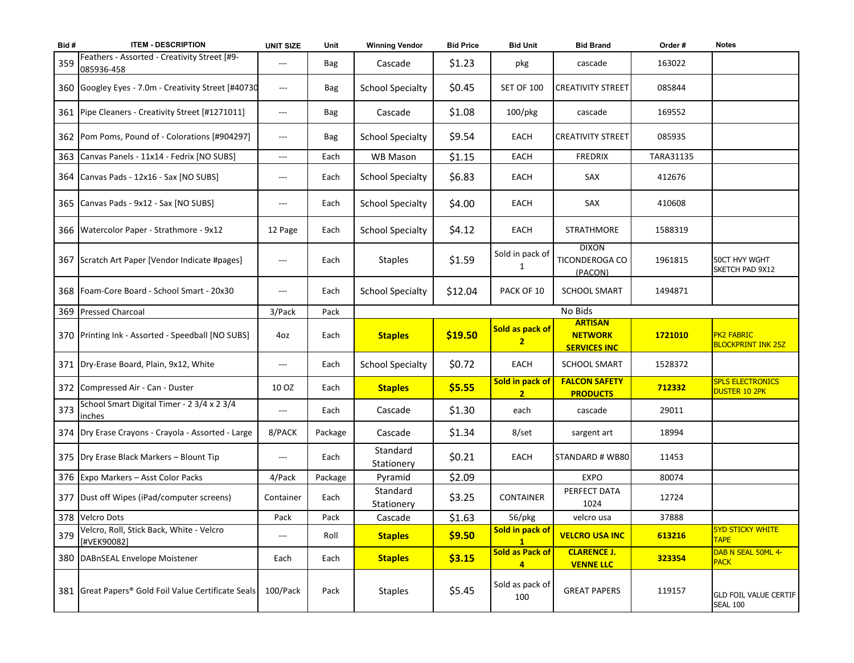| Bid# | <b>ITEM - DESCRIPTION</b>                                  | <b>UNIT SIZE</b>  | Unit       | <b>Winning Vendor</b>   | <b>Bid Price</b> | <b>Bid Unit</b>                          | <b>Bid Brand</b>                                        | Order#    | <b>Notes</b>                                    |
|------|------------------------------------------------------------|-------------------|------------|-------------------------|------------------|------------------------------------------|---------------------------------------------------------|-----------|-------------------------------------------------|
| 359  | Feathers - Assorted - Creativity Street [#9-<br>085936-458 | ---               | <b>Bag</b> | Cascade                 | \$1.23           | pkg                                      | cascade                                                 | 163022    |                                                 |
|      | 360 Googley Eyes - 7.0m - Creativity Street [#40730        | $\qquad \qquad -$ | Bag        | <b>School Specialty</b> | \$0.45           | <b>SET OF 100</b>                        | <b>CREATIVITY STREET</b>                                | 085844    |                                                 |
|      | 361 Pipe Cleaners - Creativity Street [#1271011]           | ---               | <b>Bag</b> | Cascade                 | \$1.08           | 100/pkg                                  | cascade                                                 | 169552    |                                                 |
|      | 362 Pom Poms, Pound of - Colorations [#904297]             | ---               | <b>Bag</b> | <b>School Specialty</b> | \$9.54           | EACH                                     | <b>CREATIVITY STREET</b>                                | 085935    |                                                 |
| 363  | Canvas Panels - 11x14 - Fedrix [NO SUBS]                   | ---               | Each       | <b>WB Mason</b>         | \$1.15           | EACH                                     | <b>FREDRIX</b>                                          | TARA31135 |                                                 |
|      | 364 Canvas Pads - 12x16 - Sax [NO SUBS]                    | ---               | Each       | <b>School Specialty</b> | \$6.83           | EACH                                     | SAX                                                     | 412676    |                                                 |
|      | 365 Canvas Pads - 9x12 - Sax [NO SUBS]                     | ---               | Each       | <b>School Specialty</b> | \$4.00           | EACH                                     | SAX                                                     | 410608    |                                                 |
|      | 366   Watercolor Paper - Strathmore - 9x12                 | 12 Page           | Each       | <b>School Specialty</b> | \$4.12           | EACH                                     | <b>STRATHMORE</b>                                       | 1588319   |                                                 |
|      | 367 Scratch Art Paper [Vendor Indicate #pages]             | $---$             | Each       | <b>Staples</b>          | \$1.59           | Sold in pack of<br>$\mathbf{1}$          | <b>DIXON</b><br>TICONDEROGA CO<br>(PACON)               | 1961815   | <b>50CT HVY WGHT</b><br>SKETCH PAD 9X12         |
|      | 368   Foam-Core Board - School Smart - 20x30               | ---               | Each       | <b>School Specialty</b> | \$12.04          | PACK OF 10                               | <b>SCHOOL SMART</b>                                     | 1494871   |                                                 |
|      | 369 Pressed Charcoal                                       | 3/Pack            | Pack       |                         |                  |                                          | No Bids                                                 |           |                                                 |
|      | 370 Printing Ink - Assorted - Speedball [NO SUBS]          | 4oz               | Each       | <b>Staples</b>          | \$19.50          | Sold as pack of<br>2                     | <b>ARTISAN</b><br><b>NETWORK</b><br><b>SERVICES INC</b> | 1721010   | <b>PK2 FABRIC</b><br><b>BLOCKPRINT INK 25Z</b>  |
|      | 371 Dry-Erase Board, Plain, 9x12, White                    | ---               | Each       | <b>School Specialty</b> | \$0.72           | EACH                                     | <b>SCHOOL SMART</b>                                     | 1528372   |                                                 |
|      | 372 Compressed Air - Can - Duster                          | 10 OZ             | Each       | <b>Staples</b>          | \$5.55           | Sold in pack of<br>$\overline{2}$        | <b>FALCON SAFETY</b><br><b>PRODUCTS</b>                 | 712332    | <b>SPLS ELECTRONICS</b><br>DUSTER 10 2PK        |
| 373  | School Smart Digital Timer - 2 3/4 x 2 3/4<br>inches       | ---               | Each       | Cascade                 | \$1.30           | each                                     | cascade                                                 | 29011     |                                                 |
|      | 374   Dry Erase Crayons - Crayola - Assorted - Large       | 8/PACK            | Package    | Cascade                 | \$1.34           | 8/set                                    | sargent art                                             | 18994     |                                                 |
|      | 375   Dry Erase Black Markers - Blount Tip                 | ---               | Each       | Standard<br>Stationery  | \$0.21           | EACH                                     | STANDARD # WB80                                         | 11453     |                                                 |
|      | 376 Expo Markers - Asst Color Packs                        | 4/Pack            | Package    | Pyramid                 | \$2.09           |                                          | <b>EXPO</b>                                             | 80074     |                                                 |
|      | 377 Dust off Wipes (iPad/computer screens)                 | Container         | Each       | Standard<br>Stationery  | \$3.25           | <b>CONTAINER</b>                         | PERFECT DATA<br>1024                                    | 12724     |                                                 |
|      | 378 Velcro Dots                                            | Pack              | Pack       | Cascade                 | \$1.63           | 56/pkg                                   | velcro usa                                              | 37888     |                                                 |
| 379  | Velcro, Roll, Stick Back, White - Velcro<br>[#VEK90082]    | ---               | Roll       | <b>Staples</b>          | \$9.50           | Sold in pack of                          | <b>VELCRO USA INC</b>                                   | 613216    | <b>5YD STICKY WHITE</b><br>TAPE                 |
|      | 380   DABnSEAL Envelope Moistener                          | Each              | Each       | <b>Staples</b>          | \$3.15           | <b>Sold as Pack of</b><br>4 <sup>1</sup> | <b>CLARENCE J.</b><br><b>VENNE LLC</b>                  | 323354    | DAB N SEAL 50ML 4-<br><b>PACK</b>               |
|      | 381 Great Papers® Gold Foil Value Certificate Seals        | 100/Pack          | Pack       | <b>Staples</b>          | \$5.45           | Sold as pack of<br>100                   | <b>GREAT PAPERS</b>                                     | 119157    | <b>GLD FOIL VALUE CERTIF</b><br><b>SEAL 100</b> |